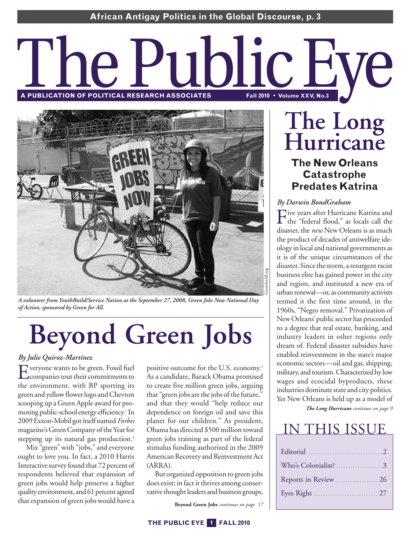# **RPUBLICATION OF POLITICAL RESEARCH ASSOCIATES**



*A volunteer from YouthBuild/Service Nation at the September 27, 2008, Green Jobs Now National Day of Action, sponsored by Green for All.*

# **Beyond Green Jobs**

#### *By Julie Quiroz-Martinez*

Everyone wants to be green. Fossil fuel the environment, with BP sporting its green and yellow flower logo and Chevron scooping up a Green Apple award for promoting public-schoolenergy efficiency. <sup>1</sup> In 2009 Exxon-Mobil got itself named *Forbes* magazine's Green Company of the Year for stepping up its natural gas production. 2

Mix "green" with "jobs," and everyone ought to love you. In fact, a 2010 Harris Interactive survey found that 72 percent of respondents believed that expansion of green jobs would help preserve a higher quality environment, and 61 percent agreed that expansion of green jobs would have a

positive outcome for the U.S. economy. 3 As a candidate, Barack Obama promised to create five million green jobs, arguing that "green jobs are the jobs of the future," and that they would "help reduce our dependence on foreign oil and save this planet for our children." As president, Obama has directed \$500 million toward green jobs training as part of the federal stimulus funding authorized in the 2009 American Recovery and Reinvestment Act (ARRA).

But organized opposition to green jobs does exist; in fact it thrives among conservative thought leaders and business groups,

**Beyond Green Jobs** *continues on page 17*

# **The Long Hurricane The New Orleans Catastrophe Predates Katrina**

#### *By Darwin BondGraham*

Five years after Hurricane Katrina and the "federal flood," as locals call the disaster, the *new* New Orleans is as much the product of decades of antiwelfare ideology in local and national governments as it is of the unique circumstances of the disaster. Since the storm, a resurgent racist businesselite has gained power in the city and region, and instituted a new era of urban renewal—or, as community activists termed it the first time around, in the 1960s, "Negro removal." Privatization of NewOrleans' public sector has proceeded to a degree that real estate, banking, and industry leaders in other regions only dream of. Federal disaster subsidies have enabled reinvestment in the state's major economic sectors—oil and gas, shipping, military, and tourism. Characterized by low wages and ecocidal byproducts, these industries dominate state and city politics. Yet New Orleans is held up as a model of

*The Long Hurricane continues on page 9*

# IN THIS ISSUE

| Who's Colonialist?3 |
|---------------------|
|                     |
|                     |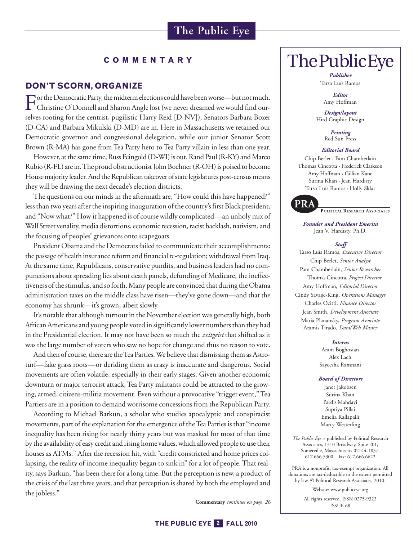#### **C O M M E N T A R Y**

#### **DON'T SCORN, ORGANIZE**

 $\Gamma$  or the Democratic Party, the midterm elections could have been worse—but not much. Christine O'Donnell and Sharon Angle lost (we never dreamed we would find ourselves rooting for the centrist, pugilistic Harry Reid [D-NV]); Senators Barbara Boxer (D-CA) and Barbara Mikulski (D-MD) are in. Here in Massachusetts we retained our Democratic governor and congressional delegation, while our junior Senator Scott Brown (R-MA) has gone from Tea Party hero to Tea Party villain in less than one year.

However, at the same time, Russ Feingold (D-WI) is out. Rand Paul (R-KY) and Marco Rubio (R-FL) are in. The proud obstructionist John Boehner (R-OH) is poised to become House majority leader. And the Republican takeover of state legislatures post-census means they will be drawing the next decade's election districts.

The questions on our minds in the aftermath are, "How could this have happened?" less than two years after the inspiring inauguration of the country's first Black president, and "Now what?" How it happened is of course wildly complicated—an unholy mix of Wall Street venality, media distortions, economic recession, racist backlash, nativism, and the focusing of peoples' grievances onto scapegoats.

President Obama and the Democrats failed to communicate their accomplishments: the passage of health insurance reform and financial re-regulation; withdrawal from Iraq. At the same time, Republicans, conservative pundits, and business leaders had no compunctions about spreading lies about death panels, defunding of Medicare, the ineffectiveness of the stimulus, and so forth. Many people are convinced that during the Obama administration taxes on the middle class haverisen—they've gone down—and that the economy has shrunk—it's grown, albeit slowly.

It's notable that although turnout in the November election was generally high, both AfricanAmericans and young people voted in significantly lower numbersthan they had in the Presidential election. It may not have been so much the *zeitgeist* that shifted as it was the large number of voters who saw no hope for change and thus no reason to vote.

And then of course, there are the Tea Parties. We believe that dismissing them as Astroturf—fake grass roots—or deriding them as crazy is inaccurate and dangerous. Social movements are often volatile, especially in their early stages. Given another economic downturn or major terrorist attack, Tea Party militants could be attracted to the growing, armed, citizens-militia movement. Even without a provocative "trigger event," Tea Partiers are in a position to demand worrisome concessions from the Republican Party.

According to Michael Barkun, a scholar who studies apocalyptic and conspiracist movements, part of the explanation for the emergence of the Tea Parties is that "income inequality has been rising for nearly thirty years but was masked for most of that time by the availability of easy credit and rising home values, which allowed people to use their houses as ATMs." After the recession hit, with "credit constricted and home prices collapsing, the reality of income inequality began to sink in" for a lot of people.That reality, says Barkun, "has been there for a long time. But the perception is new, a product of the crisis of the last three years, and that perception is shared by both the employed and the jobless."

**Commentary** *continues on page 26*

# ThePublicEye

*Publisher* Tarso Luís Ramos

*Editor* Amy Hoffman

*Design/layout* Hird Graphic Design

> *Printing* Red Sun Press

#### *Editorial Board*

Chip Berlet • Pam Chamberlain Thomas Cincotta • Frederick Clarkson Amy Hoffman • Gillian Kane Surina Khan • Jean Hardisty Tarso Luís Ramos • Holly Sklar



PRA Political Research Associates

*Founder and President Emerita* Jean V. Hardisty, Ph.D.

#### *Staff*

Tarso Luís Ramos, *Executive Director* Chip Berlet, *Senior Analyst* Pam Chamberlain, *Senior Researcher* Thomas Cincotta, *Project Director* Amy Hoffman, *Editorial Director* Cindy Savage-King, *Operations Manager* Charles Ocitti, *Finance Director* Jean Smith, *Development Associate* Maria Planansky, *Program Associate* Aramis Tirado, *Data/Web Master*

#### *Interns*

Aram Boghosian Alex Lach Sayeesha Ramnani

#### *Board of Directors*

Janet Jakobsen Surina Khan Pardis Mahdavi Supriya Pillai Emelia Rallapalli Marcy Westerling

*The Public Eye* is published by Political Research Associates, 1310 Broadway, Suite 201, Somerville, Massachusetts 02144-1837. 617.666.5300 fax: 617.666.6622

PRA is a nonprofit, tax-exempt organization. All donations are tax-deductible to the extent permitted by law. © Political Research Associates, 2010.

> Website: www.publiceye.org All rights reserved. ISSN 0275-9322 ISSUE 68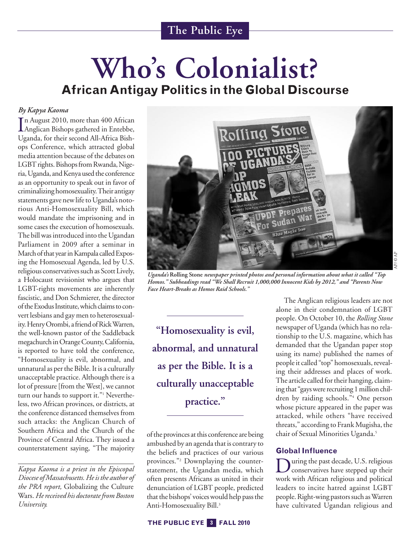# **Who ' s Colonialist? AfricanAntigay Politics in the Global Discourse**

#### *By Kapya Kaoma*

In August 2010, more than 400 African<br>Anglican Bishops gathered in Entebbe, n August 2010, more than 400 African Uganda, for their second All-Africa Bishops Conference, which attracted global media attention because of the debates on LGBT rights. Bishops from Rwanda, Nigeria, Uganda, and Kenya used the conference as an opportunity to speak out in favor of criminalizing homosexuality. Their antigay statements gave new life to Uganda's notorious Anti-Homosexuality Bill, which would mandate the imprisoning and in some cases the execution of homosexuals. The bill was introduced into the Ugandan Parliament in 2009 after a seminar in March of that year in Kampala called Exposing the Homosexual Agenda, led by U.S. religious conservatives such as Scott Lively, a Holocaust revisionist who argues that LGBT-rights movements are inherently fascistic, and Don Schmierer, the director of the Exodus Institute, which claims to convert lesbians and gay men to heterosexuality. Henry Orombi, a friend of Rick Warren, the well-known pastor of the Saddleback megachurch in Orange County, California, is reported to have told the conference, "Homosexuality is evil, abnormal, and unnatural as per the Bible. It is a culturally unacceptable practice. Although there is a lot of pressure[from theWest], we cannot turn our hands to support it."<sup>1</sup> Nevertheless, two African provinces, or districts, at the conference distanced themselves from such attacks: the Anglican Church of Southern Africa and the Church of the Province of Central Africa. They issued a counterstatement saying, "The majority

*Kapya Kaoma is a priest in the Episcopal Diocese of Massachusetts.Heis the author of the PRA report,* Globalizing the Culture Wars.*Hereceived his doctoratefrom Boston University.*



*Uganda's* **Rolling Stone** *newspaper printed photos and personal information about what it called "Top Homos." Subheadings read "We Shall Recruit 1,000,000 Innocent Kids by 2012," and "Parents Now Face Heart-Breaks as Homos Raid Schools."*

**"Homosexuality is evil, abnormal, and unnatural as per the Bible. It is a culturally unacceptable practice."**

of the provinces at this conference are being ambushed by an agenda that is contrary to the beliefs and practices of our various provinces."2 Downplaying the counterstatement, the Ugandan media, which often presents Africans as united in their denunciation of LGBT people, predicted that the bishops' voices would help pass the Anti-Homosexuality Bill. 3

The Anglican religious leaders are not alone in their condemnation of LGBT people. On October 10, the *Rolling Stone* newspaper of Uganda (which has no relationship to the U.S. magazine, which has demanded that the Ugandan paper stop using its name) published the names of people it called "top" homosexuals, revealing their addresses and places of work. The article called for their hanging, claiming that "gays were recruiting 1 million children by raiding schools."4 One person whose picture appeared in the paper was attacked, while others "have received threats," according to Frank Mugisha, the chair of Sexual Minorities Uganda. 5

#### **Global Influence**

During the past decade, U.S. religious<br>conservatives have stepped up their work with African religious and political leaders to incite hatred against LGBT people. Right-wing pastors such as Warren have cultivated Ugandan religious and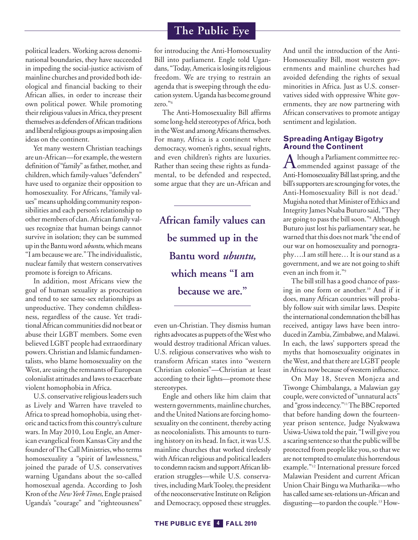political leaders. Working across denominational boundaries, they have succeeded in impeding the social-justice activism of mainline churches and provided both ideological and financial backing to their African allies, in order to increase their own political power. While promoting their religious values in Africa, they present themselves as defenders of African traditions and liberal religious groups as imposing alien ideas on the continent.

Yet many western Christian teachings are un-African-for example, the western definition of "family" as father, mother, and children,which family-values "defenders" have used to organize their opposition to homosexuality. For Africans, "family values"means upholding community responsibilities and each person's relationship to other members of clan. African family values recognize that human beings cannot survive in isolation; they can be summed up in the Bantu word *ubuntu*, which means "I am because we are." The individualistic, nuclear family that western conservatives promote is foreign to Africans.

In addition, most Africans view the goal of human sexuality as procreation and tend to see same-sex relationships as unproductive. They condemn childlessness, regardless of the cause. Yet traditionalAfrican communities did not beat or abuse their LGBT members. Some even believed LGBT people had extraordinary powers.Christian and Islamic fundamentalists, who blame homosexuality on the West, are using the remnants of European colonialist attitudes and laws to exacerbate violent homophobia in Africa.

U.S. conservative religious leaders such as Lively and Warren have traveled to Africa to spread homophobia, using rhetoric and tactics from this country's culture wars. In May 2010, Lou Engle, an American evangelical from Kansas City and the founder of The Call Ministries, who terms homosexuality a "spirit of lawlessness," joined the parade of U.S. conservatives warning Ugandans about the so-called homosexual agenda. According to Josh Kron ofthe*NewYorkTimes*,Engle praised Uganda's "courage" and "righteousness"

for introducing the Anti-Homosexuality Bill into parliament. Engle told Ugandans, "Today, America is losing its religious freedom. We are trying to restrain an agenda that is sweeping through the education system.Uganda has become ground zero."6

The Anti-Homosexuality Bill affirms some long-held stereotypes of Africa, both in the West and among Africans themselves. For many, Africa is a continent where democracy, women's rights, sexual rights, and even children's rights are luxuries. Rather than seeing these rights as fundamental, to be defended and respected, some argue that they are un-African and

**African family values can be summed up in the Bantu word** *ubuntu,* **which means "I am because we are."**

even un-Christian. They dismiss human rights advocates as puppets of the West who would destroy traditional African values. U.S. religious conservatives who wish to transform African states into "western Christian colonies"—Christian at least according to their lights—promote these stereotypes.

Engle and others like him claim that western governments, mainline churches, and the United Nations are forcing homosexuality on the continent, thereby acting as neocolonialists. This amounts to turning history on its head.In fact, it was U.S. mainline churches that worked tirelessly withAfrican religious and political leaders to condemn racism and support African liberation struggles—while U.S. conservatives, including Mark Tooley, the president of the neoconservative Institute on Religion and Democracy, opposed these struggles. And until the introduction of the Anti-Homosexuality Bill, most western governments and mainline churches had avoided defending the rights of sexual minorities in Africa. Just as U.S. conservatives sided with oppressive White governments, they are now partnering with African conservatives to promote antigay sentiment and legislation.

#### **Spreading Antigay Bigotry Around the Continent**

Although a Parliament committee rec-<br>
commended against passage of the Anti-Homosexuality Bill last spring, and the bill's supporters are scrounging for votes, the Anti-Homosexuality Bill is not dead. 7 Mugisha noted that Minister of Ethics and Integrity James Nsaba Buturo said, "They are going to pass the bill soon."8 Although Buturo just lost his parliamentary seat, he warned that this does not mark "the end of our war on homosexuality and pornography….I am still here… It is our stand as a government, and we are not going to shift even an inch from it."9

The bill still has a good chance of passing in one form or another. <sup>10</sup> And if it does, many African countries will probably follow suit with similar laws. Despite the international condemnation the bill has received, antigay laws have been introduced in Zambia, Zimbabwe, and Malawi. In each, the laws' supporters spread the myths that homosexuality originates in the West, and that there are LGBT people in Africa now because of western influence.

On May 18, Steven Monjeza and Tiwonge Chimbalanga, a Malawian gay couple,were convicted of "unnatural acts" and "gross indecency."<sup>11</sup>The BBC reported that before handing down the fourteenyear prison sentence, Judge Nyakwawa Usiwa-Usiwa told the pair, "Iwill give you a scaring sentence so that the public will be protected from people like you, so that we are not tempted to emulate this horrendous example."12 International pressure forced Malawian President and current African UnionChair Bingu wa Mutharika—who has called same sex-relations un-African and disgusting—to pardon the couple. <sup>13</sup> How-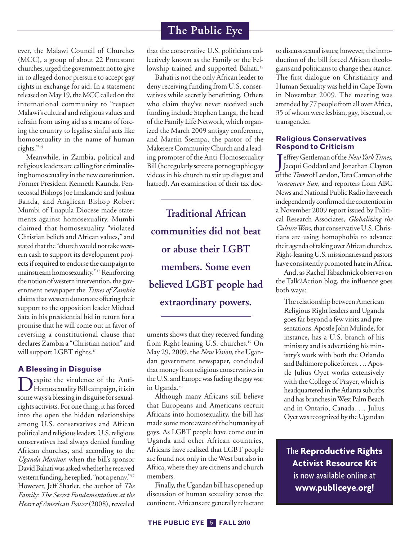ever, the Malawi Council of Churches (MCC), a group of about 22 Protestant churches, urged the government not to give in to alleged donor pressure to accept gay rights in exchange for aid. In a statement released on May 19, the MCC called on the international community to "respect Malawi's cultural and religious values and refrain from using aid as a means of forcing the country to legalise sinful acts like homosexuality in the name of human rights."<sup>14</sup>

Meanwhile, in Zambia, political and religious leaders are calling for criminalizing homosexuality in the newconstitution. Former President Kenneth Kaunda, Pentecostal Bishops Joe Imakando and Joshua Banda, and Anglican Bishop Robert Mumbi of Luapula Diocese made statements against homosexuality. Mumbi claimed that homosexuality "violated Christian beliefs and African values," and stated that the "church would not take western cash to support its development projects if required to endorse the campaign to mainstream homosexuality."<sup>15</sup> Reinforcing the notion of western intervention, the government newspaper the *Times of Zambia* claims that western donors are offering their support to the opposition leader Michael Sata in his presidential bid in return for a promise that he will come out in favor of reversing a constitutional clause that declares Zambia a "Christian nation" and will support LGBT rights. 16

#### **A Blessing in Disguise**

Despite the virulence of the Anti-<br>Homosexuality Bill campaign, it is in some ways a blessing in disguise for sexualrights activists. For one thing, it has forced into the open the hidden relationships among U.S. conservatives and African political and religious leaders. U.S. religious conservatives had always denied funding African churches, and according to the *Uganda Monitor,* when the bill's sponsor David Bahati was asked whether he received western funding, he replied, "not a penny."<sup>17</sup> However, Jeff Sharlet, the author of *The Family: The Secret Fundamentalism at the Heart of American Power* (2008), revealed

that the conservative U.S. politicians collectively known as the Family or the Fellowship trained and supported Bahati.<sup>18</sup>

Bahati is not the only African leader to deny receiving funding from U.S. conservatives while secretly benefitting. Others who claim they've never received such funding include Stephen Langa, the head of the Family Life Network, which organized the March 2009 antigay conference, and Martin Ssempa, the pastor of the Makerere Community Church and a leading promoter of the Anti-Homosexuality Bill(heregularly screens pornographic gay videos in his church to stir up disgust and hatred). An examination of their tax doc-

**Traditional African communities did not beat or abuse their LGBT members. Some even believed LGBT people had extraordinary powers.**

uments shows that they received funding from Right-leaning U.S. churches. <sup>19</sup> On May 29, 2009, the *NewVision,* the Ugandan government newspaper, concluded that money from religious conservatives in the U.S. and Europe was fueling the gay war in Uganda. 20

Although many Africans still believe that Europeans and Americans recruit Africans into homosexuality, the bill has made some more aware of the humanity of gays. As LGBT people have come out in Uganda and other African countries, Africans have realized that LGBT people arefound not only in the West but also in Africa, where they are citizens and church members.

Finally, the Ugandan bill has opened up discussion of human sexuality across the continent.Africans are generally reluctant to discuss sexual issues; however, the introduction of the bill forced African theologians and politicians to change their stance. The first dialogue on Christianity and Human Sexuality was held in Cape Town in November 2009. The meeting was attended by 77 people from all over Africa, 35 ofwhomwerelesbian, gay, bisexual, or transgender.

#### **Religious Conservatives Respond to Criticism**

Jeffrey Gettleman of the *New York Times*,<br>Jacqui Goddard and Jonathan Clayton<br>of the *Times* of London, Tara Carman of the effreyGettleman ofthe*NewYorkTimes,* Jacqui Goddard and Jonathan Clayton *Vancouver Sun,* and reporters from ABC News and National Public Radio have each independently confirmed the contention in a November 2009 report issued by Political Research Associates, *Globalizing the Culture Wars,* that conservative U.S. Christians are using homophobia to advance their agenda of taking over African churches. Right-leaning U.S. missionaries and pastors have consistently promoted hate in Africa.

And, as Rachel Tabachnick observes on the Talk2Action blog, the influence goes both ways:

The relationship between American Religious Right leaders and Uganda goes far beyond a few visits and presentations. Apostle John Mulinde, for instance, has a U.S. branch of his ministry and is advertising his ministry's work with both the Orlando and Baltimore police forces. . . . Apostle Julius Oyet works extensively with the College of Prayer, which is headquartered in the Atlanta suburbs and has branches in West Palm Beach and in Ontario, Canada. … Julius Oyet was recognized by the Ugandan

The **Reproductive Rights Activist Resource Kit** is now available online at **www.publiceye.org!**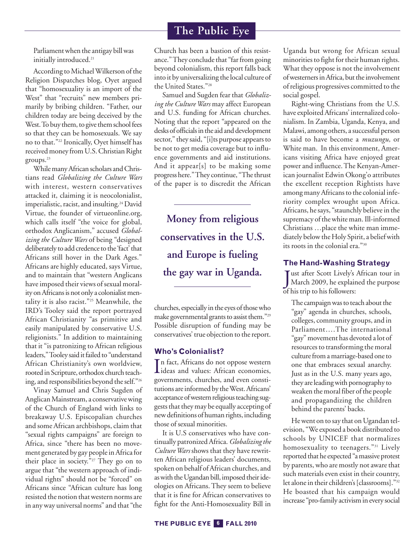Parliament when the antigay bill was initially introduced. 21

According to Michael Wilkerson of the Religion Dispatches blog, Oyet argued that "homosexuality is an import of the West" that "recruits" new members primarily by bribing children. "Father, our children today are being deceived by the West. To buy them, to give them school fees so that they can be homosexuals. We say no to that."22 Ironically, Oyet himself has received money from U.S. Christian Right groups. 23

While many African scholars and Christians read *Globalizing the Culture Wars* with interest, western conservatives attacked it, claiming it is neocolonialist, imperialistic, racist, and insulting.<sup>24</sup> David Virtue, the founder of virtueonline.org, which calls itself "the voice for global, orthodox Anglicanism," accused *Globalizing the Culture Wars* of being "designed deliberately to add credence to the 'fact' that Africans still hover in the Dark Ages." Africans are highly educated, says Virtue, and to maintain that "western Anglicans have imposed their views of sexual morality on Africans is not only a colonialist mentality it is also racist."25 Meanwhile, the IRD's Tooley said the report portrayed African Christianity "as primitive and easily manipulated by conservative U.S. religionists." In addition to maintaining that it "is patronizing to African religious leaders," Tooley said it failed to "understand African Christianity's own worldview, rooted in Scripture, orthodox church teaching, and responsibilities beyond theself."26

Vinay Samuel and Chris Sugden of Anglican Mainstream, a conservative wing of the Church of England with links to breakaway U.S. Episcopalian churches and some African archbishops, claim that "sexual rights campaigns" are foreign to Africa, since "there has been no movement generated by gay people in Africa for their place in society."27 They go on to argue that "the western approach of individual rights" should not be "forced" on Africans since "African culture has long resisted the notion thatwestern norms are in anyway universal norms" and that "the

Church has been a bastion of this resistance." They conclude that "far from going beyond colonialism, this report falls back into it by universalizing the local culture of the United States."28

Samuel and Sugden fear that *Globalizing the Culture Wars* may affect European and U.S. funding for African churches. Noting that the report "appeared on the desks of officials in the aid and development sector," they said, "[i]ts purpose appears to be not to get media coverage but to influence governments and aid institutions. And it appear[s] to be making some progress here." They continue, "The thrust of the paper is to discredit the African

**Money from religious conservatives in the U.S. and Europe is fueling the gay war in Uganda.**

churches, especially in the eyes of those who make governmental grants to assist them." $^{29}$ Possible disruption of funding may be conservatives' true objection to the report.

#### **Who's Colonialist?**

In fact, Africans do not oppose western<br>ideas and values: African economies, n fact, Africans do not oppose western governments, churches, and even constitutions are informed by the West. Africans' acceptance of western religious teaching suggests that they may be equally accepting of new definitions of human rights, including those of sexual minorities.

It is U.S conservatives who have continually patronizedAfrica. *Globalizingthe Culture Wars* shows that they have rewritten African religious leaders' documents, spoken on behalf of African churches, and as with the Ugandan bill, imposed their ideologies on Africans.They seem to believe that it is fine for African conservatives to fight for the Anti-Homosexuality Bill in Uganda but wrong for African sexual minorities to fight for their human rights. What they oppose is not the involvement of westerners in Africa, but the involvement ofreligious progressives committed to the social gospel.

Right-wing Christians from the U.S. have exploited Africans' internalized colonialism. In Zambia, Uganda, Kenya, and Malawi, among others, a successful person is said to have become a *muzungu,* or White man. In this environment, Americans visiting Africa have enjoyed great power and influence.The Kenyan-American journalist Edwin Okong'o attributes the excellent reception Rightists have among many Africans to the colonial inferiority complex wrought upon Africa. Africans, he says, "staunchly believe in the supremacy of the white man. Ill-informed Christians …place the white man immediately belowthe Holy Spirit, a beliefwith its roots in the colonial era."30

#### **The Hand-Washing Strategy**

Just after Scott Lively's<br>March 2009, he explain<br>of his trip to his followers: ust after Scott Lively's African tour in March 2009, he explained the purpose

The campaign was to teach about the "gay" agenda in churches, schools, colleges, community groups, and in Parliament….The international "gay"movement has devoted a lot of resources to transforming the moral culture from a marriage-based one to one that embraces sexual anarchy. Just as in the U.S. many years ago, they areleadingwith pornography to weaken the moral fiber of the people and propagandizing the children behind the parents' backs.

He went on to say that on Ugandan television, "We exposed a book distributed to schools by UNICEF that normalizes homosexuality to teenagers."<sup>31</sup> Lively reported that he expected "a massive protest by parents, who are mostly not aware that such materials even exist in their country, let alone in their children's [classrooms]."32 He boasted that his campaign would increase "pro-family activism in every social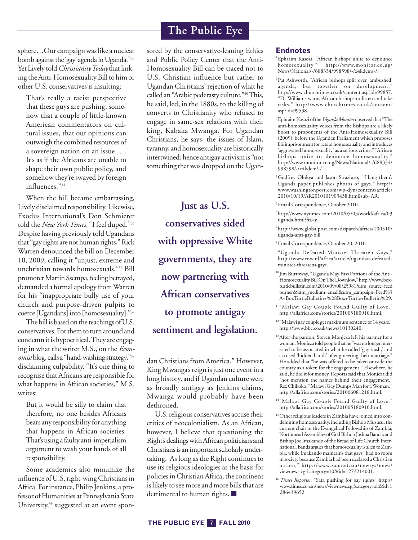sphere…Our campaignwaslike a nuclear bomb against the 'gay' agenda in Uganda."33 Yet Lively told Christianity Today that linking the Anti-Homosexuality Bill to him or other U.S. conservatives is insulting:

That's really a racist perspective that these guys are pushing, somehow that a couple of little-known American commentators on cultural issues, that our opinions can outweigh the combined resources of a sovereign nation on an issue …. It's as if the Africans are unable to shape their own public policy, and somehow they're swayed by foreign influences."34

When the bill became embarrassing, Lively disclaimed responsibility. Likewise, Exodus International's Don Schmierer told the *New York Times*, "I feel duped."<sup>35</sup> Despite having previously told Ugandans that "gay rights are not human rights," Rick Warren denounced the bill on December 10, 2009, calling it "unjust, extreme and unchristian towards homosexuals."36 Bill promoter Martin Ssempa, feeling betrayed, demanded a formal apology fromWarren for his "inappropriate bully use of your church and purpose-driven pulpits to coerce [Ugandans] into [homosexuality]."37

The bill is based on the teachings of U.S. conservatives. For them to turn around and condemn it is hypocritical. They are engaging in what the writer M.S., on the *Economist* blog, calls a "hand-washing strategy,"38 disclaiming culpability. "It's one thing to recognise that Africans are responsible for what happens in African societies," M.S. writes:

But it would be silly to claim that therefore, no one besides Africans bears any responsibility for anything that happens in African societies. That's using a faulty anti-imperialism argument to wash your hands of all responsibility.

Some academics also minimize the influence of U.S. right-wing Christians in Africa. For instance, Philip Jenkins, a professor of Humanities at Pennsylvania State University, <sup>39</sup> suggested at an event spon-

# **The Public Eye**

sored by the conservative-leaning Ethics and Public Policy Center that the Anti-Homosexuality Bill can be traced not to U.S. Christian influence but rather to Ugandan Christians' rejection of what he called an "Arabic pederasty culture."40This, hesaid, led, in the 1880s, to the killing of converts to Christianity who refused to engage in same-sex relations with their king, Kabaka Mwanga. For Ugandan Christians, he says, the issues of Islam, tyranny, and homosexuality are historically intertwined; hence antigay activismis "not something that was dropped on the Ugan-

**Just as U.S. conservatives sided with oppressive White governments, they are now partnering with African conservatives to promote antigay sentiment and legislation.**

dan Christians from America." However, King Mwanga's reign is just one event in a long history, and if Ugandan culture were as broadly antigay as Jenkins claims, Mwanga would probably have been dethroned.

U.S. religious conservatives accuse their critics of neocolonialism. As an African, however, I believe that questioning the Right's dealings with African politicians and Christians is an important scholarly undertaking. As long as the Right continues to use its religious ideologies as the basis for policies in Christian Africa, the continent is likely to see more and more bills that are detrimental to human rights. **■**

#### **Endnotes**

<sup>1</sup>Ephraim Kasozi, "African bishops unite to denounce homosexuality," http://www.monitor.co.ug/ News/National/-/688334/998598/-/x4kdcm/-/.

2Pat Ashworth, "African bishops split over 'ambushed' agenda, but together on development," http://www.churchtimes.co.uk/content.asp?id=99857. "Dr Williams warns African bishops to listen and take risks," http://www.churchtimes.co.uk/content. asp?id=99538.

<sup>3</sup> Ephraim Kasozi of the *Uganda Monitor* observed that "The anti-homosexuality voices from the bishops are a likely boost to proponents of the Anti-Homosexuality Bill (2009), before the Ugandan Parliament which proposes life imprisonment for acts of homosexuality and introduces 'aggravated homosexuality' as a serious crime." "African bishops unite to denounce homosexuality." http://www.monitor.co.ug/News/National/-/688334/ 998598/-/x4kdcm/-/.

4Godfrey Olukya and Jason Straziuso, "'Hang them': Uganda paper publishes photos of gays," http:// www.washingtonpost.com/wp-dyn/content/article/ 2010/10/19/AR2010101903438.html?sub=AR.

5Email Correspondence, October 2010.

6http://www.nytimes.com/2010/05/03/world/africa/03 uganda.html?fta=y.

7http://www.globalpost.com/dispatch/africa/100510/ uganda-anti-gay-bill.

8Email Correspondence, October 20, 2010.

<sup>9"</sup>Uganda Defeated Minister Threaten Gays," http://www.rnw.nl/africa/article/ugandan-defeatedminister-threatens-gays.

<sup>10</sup> Jim Burroway, "Uganda May Pass Portions of the Anti-Homosexuality Bill On The Downlow," http://www.boxturtlebulletin.com/2010/09/08/25981?utm\_source=feed burner&utm\_medium=email&utm\_campaign=Feed%3 A+BoxTurtleBulletin+%28Box+Turtle+Bulletin%29.

<sup>11</sup>"Malawi Gay Couple Found Guilty of Love," http://allafrica.com/stories/201005180910.html.

<sup>12</sup> "Malawi gay couple get maximum sentence of 14 years," http://www.bbc.co.uk/news/10130240.

13After the pardon, Steven Monjeza left his partner for a woman. Monjeza told people that he "was no longer interested to be associated in what he called 'gay trash,' and accused 'hidden hands' of engineering their marriage." He added that "he was offered to be taken outside the country as a token for the engagement." Elsewhere, he said, he did it for money. Reports said that Monjeza did "not mention the names behind their engagement." Rex Chikoko, "Malawi Gay Dumps Man for a Woman," http://allafrica.com/stories/201006081218.html.

<sup>14</sup>"Malawi Gay Couple Found Guilty of Love," http://allafrica.com/stories/201005180910.html.

<sup>15</sup> Other religious leaders in Zambia have joined into condemning homosexuality, including Bishop Mususu, the current chair of the Evangelical Fellowship of Zambia; Northmead Assemblies of God Bishop Joshua Banda; and Bishop Joe Imakando of the Bread of Life Church International. Banda argues that homosexuality is alien to Zambia, while Imakando maintains that gays "had no room in society because Zambia had been declared a Christian nation," http://www.zamnet.zm/newsys/news/ viewnews.cgi?category=10&id=1273214001.

<sup>16</sup> *Times Reporter,* "Sata pushing for gay rights" http:// www.times.co.zm/news/viewnews.cgi?category=all&id=1 286439652.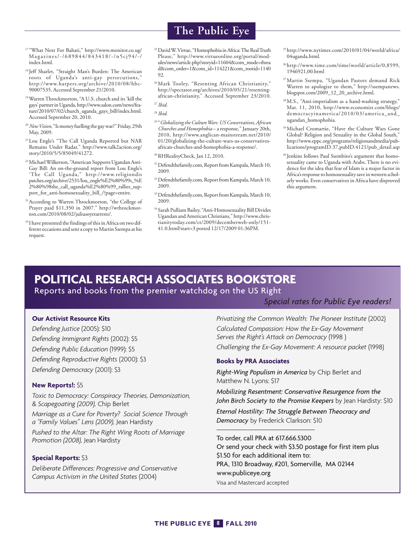- <sup>17</sup> "What Next For Bahati," http://www.monitor.co.ug/ Magazines/-/689844/843418/-/n5cj94/-/ index.html.
- <sup>18</sup> Jeff Sharlet, "Straight Man's Burden: The American roots of Uganda's anti-gay persecutions," http://www.harpers.org/archive/2010/08/hbc-90007535. Accessed September 21/2010.
- 19WarrenThrockmorton, "A U.S. church and its 'kill the gays'partnerinUganda,http://www.salon.com/news/feature/2010/07/02/church\_uganda\_gays\_bill/index.html. Accessed September 20, 2010.
- <sup>20</sup> New Vision, "Is money fuelling the gay war?" Friday, 29th May, 2009.
- <sup>21</sup> Lou Engle's "The Call Uganda Reported but NAR Remains Under Radar," http://www.talk2action.org/ story/2010/5/5/85049/41272.
- <sup>22</sup> Michael Wilkerson, "American Supports Ugandan Anti-Gay Bill: An on-the-ground report from Lou Engle's 'The Call Uganda," http://www.religiondis patches.org/archive/2531/lou\_engle%E2%80%99s\_%E 2%80%98the\_call\_uganda%E2%80%99\_rallies\_support\_for\_anti-homosexuality\_bill\_/?page=entire.
- <sup>23</sup> According to Warren Throckmorton, "the College of Prayer paid \$11,350 in 2007." http://wthrockmorton.com/2010/08/02/juliusoyetarrests/.
- <sup>24</sup> I have presented the findings of this in Africa on two different occasions and sent a copy to Martin Ssempa at his request.
- **The Public Eye**
- <sup>25</sup> David W. Virtue, "Homophobia in Africa: The Real Truth Please," http://www.virtueonline.org/portal/modules/news/article.php?storyid=11604&com\_mode=threa d&com\_order=1&com\_id=114221&com\_rootid=1140 92.
- <sup>26</sup>Mark Tooley, "Resenting African Christianity," http://spectator.org/archives/2010/05/21/resentingafrican-christianity," Accessed September 23/2010.

- <sup>29</sup> "*GlobalizingtheCultureWars: USConservatives,African Churches and Homophobia* – a response," January 20th, 2010, http://www.anglican-mainstream.net/2010/ 01/20/globalizing-the-culture-wars-us-conservativesafrican-churches-and-homophobia-a-response/.
- 30RHRealityCheck, Jan 12, 2010.
- <sup>31</sup> Defendthefamily.com, Report from Kampala, March 10, 2009.
- <sup>32</sup> Defendthefamily.com, Report from Kampala, March 10, 2009.
- <sup>33</sup> Defendthefamily.com, Report from Kampala, March 10, 2009.
- $\rm{^{34}S}$ arah Pulliam Bailey, "Anti-Homosexuality Bill Divides Ugandan andAmericanChristians," http://www.christianitytoday.com/ct/2009/decemberweb-only/151- 41.0.html?start=3 posted 12/17/2009 01:36PM.
- 35http://www.nytimes.com/2010/01/04/world/africa/ 04uganda.html.
- 36http://www.time.com/time/world/article/0,8599, 1946921,00.html
- 37Martin Ssempa, "Ugandan Pastors demand Rick Warren to apologize to them," http://ssempanews. blogspot.com/2009\_12\_20\_archive.html.
- 38M.S., "Anti-imperialism as a hand-washing strategy," Mar. 11, 2010, http://www.economist.com/blogs/ democracyinamerica/2010/03/america\_and\_ ugandan\_homophobia.
- 39Michael Cromartie, "Have the Culture Wars Gone Global? Religion and Sexuality in the Global South," http://www.eppc.org/programs/religionandmedia/publications/programID.37,pubID.4121/pub\_detail.asp
- <sup>40</sup> Jenkins follows Paul Ssembiro's argument that homosexuality came to Uganda with Arabs. There is no evidence for the idea that fear of Islam is a major factor in Africa's response to homosexuality save in western scholarly works. Even conservatives in Africa have disproved this argument.

# **POLITICAL RESEARCH ASSOCIATES BOOKSTORE**

#### Reports and books from the premier watchdog on the US Right

#### *Special rates for Public Eye readers!*

#### **Our Activist Resource Kits**

*Defending Justice* (2005): \$10 *Defending Immigrant Rights* (2002): \$5 *Defending Public Education* (1999): \$5 *Defending Reproductive Rights* (2000): \$3 *Defending Democracy* (2001): \$3

#### **New Reports!:** \$5

*Toxic to Democracy: Conspiracy Theories, Demonization, & Scapegoating (2009),* Chip Berlet

*Marriage as a Cure for Poverty? Social Science Through a "Family Values" Lens (2009),* Jean Hardisty

*Pushed to the Altar: The Right Wing Roots of Marriage Promotion (2008),* Jean Hardisty

#### **Special Reports:** \$3

*Deliberate Differences: Progressive and Conservative Campus Activism in the United States* (2004)

*Privatizing the Common Wealth: The Pioneer Institute* (2002) *Calculated Compassion: How the Ex-Gay Movement Serves the Right's Attack on Democracy* (1998 )

*Challenging the Ex-Gay Movement: A resource packet* (1998)

#### **Books by PRA Associates**

*Right-Wing Populism in America* by Chip Berlet and Matthew N. Lyons: \$17

*Mobilizing Resentment: Conservative Resurgence from the John Birch Society to the Promise Keepers* by Jean Hardisty: \$10

*Eternal Hostility: The Struggle Between Theocracy and Democracy* by Frederick Clarkson: \$10

To order, call PRA at 617.666.5300 Or send your check with \$3.50 postage for first item plus \$1.50 for each additional item to: PRA, 1310 Broadway, #201, Somerville, MA 02144 www.publiceye.org Visa and Mastercard accepted

<sup>27</sup> *Ibid.*

<sup>28</sup> *Ibid.*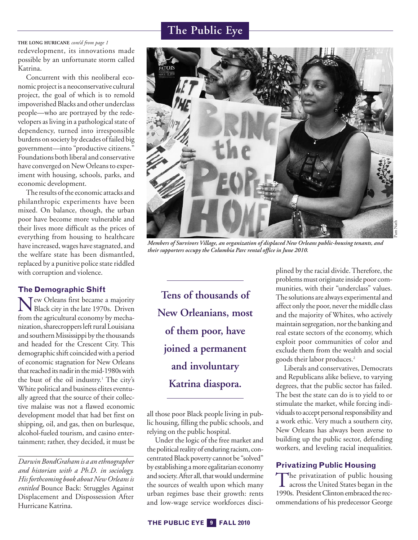redevelopment, its innovations made possible by an unfortunate storm called Katrina. **THE LONG HURICANE** *cont'd from page 1*

Concurrent with this neoliberal economic project is a neoconservative cultural project, the goal of which is to remold impoverished Blacks and other underclass people—who are portrayed by the redevelopers as living in a pathological state of dependency, turned into irresponsible burdens on society by decades of failed big government—into "productive citizens." Foundations both liberal and conservative have converged on New Orleans to experiment with housing, schools, parks, and economic development.

The results of the economic attacks and philanthropic experiments have been mixed. On balance, though, the urban poor have become more vulnerable and their lives more difficult as the prices of everything from housing to healthcare have increased, wages have stagnated, and the welfare state has been dismantled, replaced by a punitive police state riddled with corruption and violence.

#### **The Demographic Shift**

New Orleans first became <sup>a</sup> majority Black city in thelate 1970s. Driven from the agricultural economy by mechanization, sharecroppers left rural Louisiana and southern Mississippi by the thousands and headed for the Crescent City. This demographic shift coincided with a period of economic stagnation for New Orleans that reached its nadir in the mid-1980s with the bust of the oil industry. <sup>1</sup> The city's White political and business elites eventually agreed that the source of their collective malaise was not a flawed economic development model that had bet first on shipping, oil, and gas, then on burlesque, alcohol-fueled tourism, and casino entertainment; rather, they decided, it must be

*Darwin BondGraham is a an ethnographer and historian with a Ph.D. in sociology. His forthcoming book aboutNew Orleans is entitled* Bounce Back: Struggles Against Displacement and Dispossession After Hurricane Katrina.



Pam

*Members of Survivors Village, an organization of displaced New Orleans public-housing tenants, and their supporters occupy the Columbia Parc rental office in June 2010.*

**Tens of thousands of New Orleanians, most of them poor, have joined a permanent and involuntary Katrina diaspora.**

all those poor Black people living in public housing, filling the public schools, and relying on the public hospital.

Under the logic of the free market and the political reality of enduring racism, concentrated Black poverty cannot be "solved" by establishing a more egalitarian economy and society. After all, that would undermine the sources of wealth upon which many urban regimes base their growth: rents and low-wage service workforces disciplined by the racial divide. Therefore, the problems must originate inside poor communities, with their "underclass" values. The solutions are always experimental and affect only the poor, never the middle class and the majority of Whites, who actively maintain segregation, nor the banking and real estate sectors of the economy, which exploit poor communities of color and exclude them from the wealth and social goods their labor produces. 2

Liberals and conservatives, Democrats and Republicans alike believe, to varying degrees, that the public sector has failed. The best the state can do is to yield to or stimulate the market, while forcing individuals to accept personal responsibility and a work ethic. Very much a southern city, New Orleans has always been averse to building up the public sector, defending workers, and leveling racial inequalities.

#### **Privatizing Public Housing**

The privatization of public housing<br>across the United States began in the 1990s. President Clinton embraced the recommendations of his predecessor George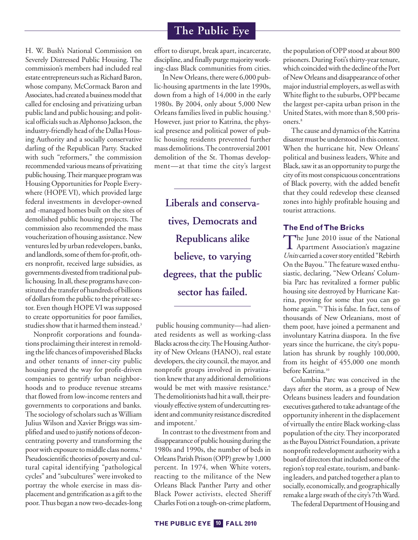H. W. Bush's National Commission on Severely Distressed Public Housing. The commission's members had included real estate entrepreneurs such as Richard Baron, whose company, McCormack Baron and Associates, had created a business model that called for enclosing and privatizing urban public land and public housing; and political officials such as Alphonso Jackson, the industry-friendly head of the Dallas Housing Authority and a socially conservative darling of the Republican Party. Stacked with such "reformers," the commission recommended various means of privatizing public housing. Their marquee program was Housing Opportunities for People Everywhere (HOPE VI), which provided large federal investments in developer-owned and -managed homes built on the sites of demolished public housing projects. The commission also recommended the mass voucherization of housing assistance.New ventures led by urban redevelopers, banks, and landlords, some of them for-profit, others nonprofit, received large subsidies, as governments divested from traditional public housing. In all, these programs have constituted the transfer of hundreds of billions of dollars from the public to the private sector. Even though HOPEVI was supposed to create opportunities for poor families, studies show that it harmed them instead.<sup>3</sup>

Nonprofit corporations and foundations proclaiming their interest in remolding the life chances of impoverished Blacks and other tenants of inner-city public housing paved the way for profit-driven companies to gentrify urban neighborhoods and to produce revenue streams that flowed from low-income renters and governments to corporations and banks. The sociology of scholars such as William Julius Wilson and Xavier Briggs was simplified and used to justify notions of deconcentrating poverty and transforming the poor with exposure to middle class norms.<sup>4</sup> Pseudoscientific theories of poverty and cultural capital identifying "pathological cycles" and "subcultures" were invoked to portray the whole exercise in mass displacement and gentrification as a gift to the poor.Thus began a nowtwo-decades-long effort to disrupt, break apart, incarcerate, discipline, and finally purge majority working-class Black communities from cities.

In New Orleans, there were 6,000 public-housing apartments in the late 1990s, down from a high of 14,000 in the early 1980s. By 2004, only about 5,000 New Orleans families lived in public housing. 5 However, just prior to Katrina, the physical presence and political power of public housing residents prevented further mass demolitions.The controversial 2001 demolition of the St. Thomas development—at that time the city's largest

**Liberals and conservatives, Democrats and Republicans alike believe, to varying degrees, that the public sector has failed.**

public housing community—had alienated residents as well as working-class Blacks across the city. The Housing Authority of New Orleans (HANO), real estate developers, the city council, the mayor, and nonprofit groups involved in privatization knewthat any additional demolitions would be met with massive resistance. 6 The demolitionists had hit a wall, their previously effective system of undercutting resident and community resistance discredited and impotent. 7

In contrast to the divestment from and disappearance of public housing during the 1980s and 1990s, the number of beds in Orleans Parish Prison (OPP) grew by 1,000 percent. In 1974, when White voters, reacting to the militance of the New Orleans Black Panther Party and other Black Power activists, elected Sheriff Charles Foti on a tough-on-crime platform,

the population ofOPP stood at about 800 prisoners. During Foti's thirty-year tenure, which coincided with the decline of the Port ofNewOrleans and disappearance of other major industrial employers, as well as with White flight to the suburbs, OPP became the largest per-capita urban prison in the United States, with more than 8,500 prisoners. 8

The cause and dynamics of the Katrina disaster must be understood in this context. When the hurricane hit, New Orleans' political and business leaders, White and Black, saw it as an opportunity to purge the city of its most conspicuous concentrations of Black poverty, with the added benefit that they could redevelop these cleansed zones into highly profitable housing and tourist attractions.

#### **The End ofThe Bricks**

The June 2010 issue of the National<br>Apartment Association's magazine Units carried a cover story entitled "Rebirth On the Bayou." The feature waxed enthusiastic, declaring, "New Orleans' Columbia Parc has revitalized a former public housing site destroyed by Hurricane Katrina, proving for some that you can go home again."9This is false. In fact, tens of thousands of New Orleanians, most of them poor, have joined a permanent and involuntary Katrina diaspora. In the five years since the hurricane, the city's population has shrunk by roughly 100,000, from its height of 455,000 one month before Katrina. 10

Columbia Parc was conceived in the days after the storm, as a group of New Orleans business leaders and foundation executives gathered to take advantage of the opportunity inherent in the displacement of virtually the entire Black working-class population of the city.They incorporated as the Bayou District Foundation, a private nonprofit redevelopment authority with a board of directors that included some of the region's top real estate, tourism, and banking leaders, and patched together a plan to socially, economically, and geographically remake a large swath of the city's 7th Ward.

The federal Department of Housing and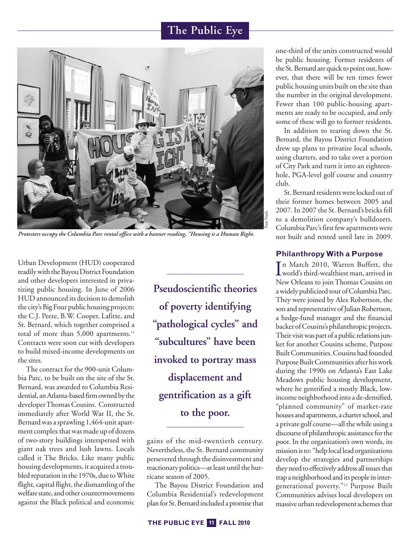

*Protesters occupy the Columbia Parc rental office with a banner reading, "Housing is a Human Right.*

Urban Development (HUD) cooperated readily with the Bayou District Foundation and other developers interested in privatizing public housing. In June of 2006 HUDannounced its decision to demolish the city's Big Four public housing projects: the C.J. Peete, B.W. Cooper, Lafitte, and St. Bernard, which together comprised a total of more than 5,000 apartments. 11 Contracts were soon cut with developers to build mixed-income developments on the sites.

The contract for the 900-unit Columbia Parc, to be built on the site of the St. Bernard, was awarded to Columbia Residential, an Atlanta-based firm owned by the developerThomas Cousins. Constructed immediately after World War II, the St. Bernardwas a sprawling 1,464-unit apartment complex that was made up of dozens of two-story buildings interspersed with giant oak trees and lush lawns. Locals called it The Bricks. Like many public housing developments, it acquired a troubled reputation in the 1970s, due to White flight, capital flight, the dismantling of the welfare state, and other countermovements against the Black political and economic

**Pseudoscientific theories of poverty identifying "pathological cycles" and "subcultures" have been invoked to portray mass displacement and gentrification as a gift to the poor.**

gains of the mid-twentieth century. Nevertheless, the St. Bernard community persevered through the disinvestment and reactionary politics—at least until the hurricane season of 2005.

The Bayou District Foundation and Columbia Residential's redevelopment plan for St. Bernard included a promise that one-third of the units constructed would be public housing. Former residents of the St. Bernard are quick to point out, however, that there will be ten times fewer public housing units built on the site than the number in the original development. Fewer than 100 public-housing apartments are ready to be occupied, and only some of these will go to former residents.

In addition to tearing down the St. Bernard, the Bayou District Foundation drew up plans to privatize local schools, using charters, and to take over a portion of City Park and turn it into an eighteenhole, PGA-level golf course and country club.

St. Bernard residents were locked out of their former homes between 2005 and 2007. In 2007 the St. Bernard's bricks fell to a demolition company's bulldozers. Columbia Parc's first few apartments were not built and rented until late in 2009.

#### **PhilanthropyWith a Purpose**

In March 2010, Warren Buffett, the<br>world's third-wealthiest man, arrived in world's third-wealthiest man, arrived in New Orleans to join Thomas Cousins on a widely publicized tour of Columbia Parc. They were joined by Alex Robertson, the son and representative of Julian Robertson, a hedge-fund manager and the financial backer ofCousins's philanthropic projects. Their visit was part of a public relations junket for another Cousins scheme, Purpose Built Communities. Cousins had founded Purpose Built Communities after his work during the 1990s on Atlanta's East Lake Meadows public housing development, where he gentrified a mostly Black, lowincome neighborhood into a de-densified, "planned community" of market-rate houses and apartments, a charter school, and a private golf course—all thewhile using a discourse of philanthropic assistance for the poor. In the organization's own words, its mission isto: "help local lead organizations develop the strategies and partnerships they need to effectively address all issues that trap a neighborhood and its people in intergenerational poverty."12 Purpose Built Communities advises local developers on massive urban redevelopment schemes that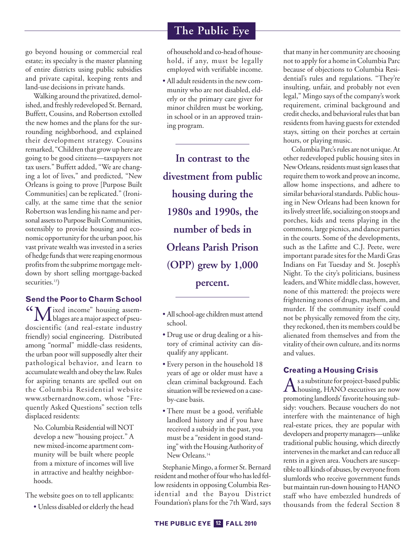go beyond housing or commercial real estate; its specialty is the master planning of entire districts using public subsidies and private capital, keeping rents and land-use decisions in private hands.

Walking around the privatized, demolished, and freshly redeveloped St. Bernard, Buffett, Cousins, and Robertson extolled the new homes and the plans for the surrounding neighborhood, and explained their development strategy. Cousins remarked, "Children that growup here are going to be good citizens—taxpayers not tax users." Buffett added, "We are changing a lot of lives," and predicted, "New Orleans is going to prove [Purpose Built Communities] can be replicated." (Ironically, at the same time that the senior Robertson was lending his name and personal assets to Purpose Built Communities, ostensibly to provide housing and economic opportunity for the urban poor, his vast private wealth was invested in a series of hedge funds that were reaping enormous profits from the subprime mortgage meltdown by short selling mortgage-backed securities.<sup>13</sup>)

#### **Send the Poor to Charm School**

"Mixed income" housing assem-blages are amajor aspect of pseudoscientific (and real-estate industry friendly) social engineering. Distributed among "normal" middle-class residents, the urban poor will supposedly alter their pathological behavior, and learn to accumulate wealth and obey the law. Rules for aspiring tenants are spelled out on the Columbia Residential website www.stbernardnow.com, whose "Frequently Asked Questions" section tells displaced residents:

No. Columbia Residential will NOT develop a new "housing project." A newmixed-income apartment community will be built where people from a mixture of incomes will live in attractive and healthy neighborhoods.

The website goes on to tell applicants:

• Unless disabled orelderly the head

of household and co-head of household, if any, must be legally employed with verifiable income.

• All adult residents in the new community who are not disabled, elderly or the primary care giver for minor children must be working, in school or in an approved training program.

**In contrast to the divestment from public housing during the 1980s and 1990s, the number of beds in Orleans Parish Prison (OPP) grew by 1,000 percent.**

- All school-age children must attend school.
- Drug use or drug dealing or a history of criminal activity can disqualify any applicant.
- Every person in the household 18 years of age or older must have a clean criminal background. Each situation will be reviewed on a caseby-case basis.
- There must be a good, verifiable landlord history and if you have received a subsidy in the past, you must be a "resident in good standing" with the Housing Authority of New Orleans. 14

Stephanie Mingo, a former St. Bernard resident and mother of four who has led fellow residents in opposing Columbia Residential and the Bayou District Foundation's plans for the 7th Ward, says that many in her community are choosing not to apply for a home in Columbia Parc because of objections to Columbia Residential's rules and regulations. "They're insulting, unfair, and probably not even legal," Mingo says of the company's work requirement, criminal background and credit checks, and behavioral rules that ban residents from having guests for extended stays, sitting on their porches at certain hours, or playing music.

Columbia Parc's rules are not unique. At other redeveloped public housing sites in New Orleans, residents must sign leases that require them to work and prove an income, allow home inspections, and adhere to similar behavioral standards. Public housing in New Orleans had been known for its lively street life, socializing on stoops and porches, kids and teens playing in the commons, large picnics, and dance parties in the courts. Some of the developments, such as the Lafitte and C.J. Peete, were important parade sites for the Mardi Gras Indians on Fat Tuesday and St. Joseph's Night. To the city's politicians, business leaders, and White middle class, however, none of this mattered: the projects were frightening zones of drugs, mayhem, and murder. If the community itself could not be physically removed from the city, they reckoned, then its members could be alienated from themselves and from the vitality of their own culture, and its norms and values.

#### **Creating a Housing Crisis**

As a substitute for project-based public<br>housing, HANO executives are now promoting landlords'favorite housing subsidy: vouchers. Because vouchers do not interfere with the maintenance of high real-estate prices, they are popular with developers and property managers—unlike traditional public housing, which directly intervenes in the market and can reduce all rents in a given area. Vouchers are susceptible to all kinds of abuses, by everyone from slumlords who receive government funds but maintain run-down housing to HANO staff who have embezzled hundreds of thousands from the federal Section 8

#### **THE PUBLIC EYE FALL 2010 12**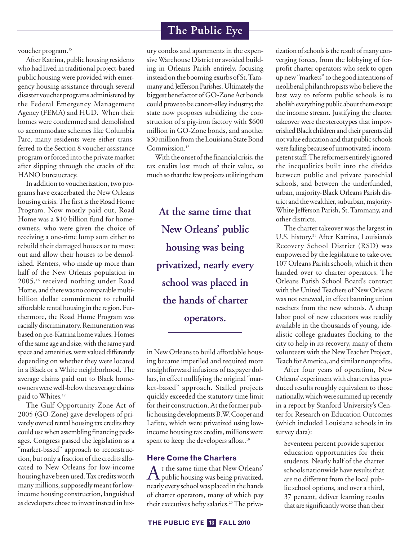#### voucher program. 15

After Katrina, public housing residents who had lived in traditional project-based public housing were provided with emergency housing assistance through several disaster voucher programs administered by the Federal Emergency Management Agency (FEMA) and HUD. When their homes were condemned and demolished to accommodate schemes like Columbia Parc, many residents were either transferred to the Section 8 voucher assistance program or forced into the private market after slipping through the cracks of the HANO bureaucracy.

In addition to voucherization, two programs have exacerbated the New Orleans housing crisis. The first is the Road Home Program. Now mostly paid out, Road Home was a \$10 billion fund for homeowners, who were given the choice of receiving a one-time lump sum either to rebuild their damaged houses or to move out and allow their houses to be demolished. Renters, who made up more than half of the New Orleans population in 2005, <sup>16</sup> received nothing under Road Home, and there was no comparable multibillion dollar commitment to rebuild affordable rental housing in the region. Furthermore, the Road Home Program was racially discriminatory. Remuneration was based on pre-Katrina home values. Homes of the same age and size, with the same yard space and amenities, were valued differently depending on whether they were located in a Black or a White neighborhood.The average claims paid out to Black homeowners were well-below the average claims paid to Whites. 17

The Gulf Opportunity Zone Act of 2005 (GO-Zone) gave developers of privately owned rental housing tax credits they could usewhen assembling financing packages. Congress passed the legislation as a "market-based" approach to reconstruction, but only a fraction of the credits allocated to New Orleans for low-income housing have been used.Tax creditsworth many millions, supposedly meant for lowincome housing construction, languished as developers chose to invest instead in lux-

# **The Public Eye**

ury condos and apartments in the expensiveWarehouse District or avoided building in Orleans Parish entirely, focusing instead on the booming exurbs of St.Tammany and Jefferson Parishes. Ultimately the biggest benefactor of GO-Zone Act bonds could prove to be cancer-alley industry; the state now proposes subsidizing the construction of a pig-iron factory with \$600 million in GO-Zone bonds, and another \$30 million from the Louisiana State Bond Commission. 18

With the onset of the financial crisis, the tax credits lost much of their value, so much so that the few projects utilizing them

**At the same time that New Orleans' public housing was being privatized, nearly every school was placed in the hands of charter operators.**

in New Orleans to build affordable housing became imperiled and required more straightforward infusions of taxpayer dollars, in effect nullifying the original "market-based" approach. Stalled projects quickly exceeded the statutory time limit for their construction. At the former publichousingdevelopmentsB.W.Cooper and Lafitte, which were privatized using lowincome housing tax credits, millions were spent to keep the developers afloat. 19

#### **Here Come the Charters**

At the same time that New Orleans'<br>public housing was being privatized, nearly every school was placed in the hands of charter operators, many of which pay their executives hefty salaries.<sup>20</sup> The privatization of schools is the result of many converging forces, from the lobbying of forprofit charter operators who seek to open up new"markets" to the good intentions of neoliberal philanthropists who believe the best way to reform public schools is to abolish everything public about them except the income stream. Justifying the charter takeover were the stereotypes that impoverished Black children and their parents did not value education and that public schools were failing because of unmotivated, incompetent staff. The reformers entirely ignored the inequalities built into the divides between public and private parochial schools, and between the underfunded, urban, majority-Black Orleans Parish district and the wealthier, suburban, majority-White Jefferson Parish, St. Tammany, and other districts.

The charter takeover was the largest in U.S. history. <sup>21</sup> After Katrina, Louisiana's Recovery School District (RSD) was empowered by the legislature to take over 107 Orleans Parish schools, which it then handed over to charter operators. The Orleans Parish School Board's contract with the United Teachers of New Orleans was not renewed, in effect banning union teachers from the new schools. A cheap labor pool of new educators was readily available in the thousands of young, idealistic college graduates flocking to the city to help in its recovery, many of them volunteers with the NewTeacher Project, Teach for America, and similar nonprofits.

After four years of operation, New Orleans' experiment with charters has produced results roughly equivalent to those nationally, which were summed up recently in a report by Stanford University's Center for Research on Education Outcomes (which included Louisiana schools in its survey data):

Seventeen percent provide superior education opportunities for their students. Nearly half of the charter schools nationwide have results that are no different from the local public school options, and over a third, 37 percent, deliver learning results that aresignificantlyworsethan their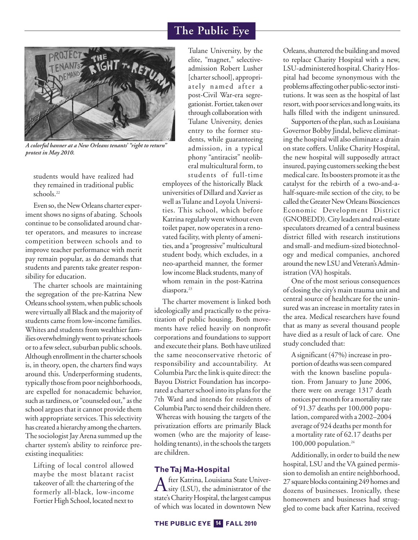

*A colorful banner at a New Orleans tenants' "right to return" protest in May 2010.*

students would have realized had they remained in traditional public schools. 22

Even so, the New Orleans charter experiment shows no signs of abating. Schools continue to be consolidated around charter operators, and measures to increase competition between schools and to improve teacher performance with merit pay remain popular, as do demands that students and parents take greater responsibility for education.

The charter schools are maintaining the segregation of the pre-Katrina New Orleans school system, when public schools were virtually all Black and the majority of students came from low-income families. Whites and students from wealthier families overwhelmingly went to private schools or to a few select, suburban public schools. Although enrollment in the charter schools is, in theory, open, the charters find ways around this. Underperforming students, typically those from poor neighborhoods, are expelled for nonacademic behavior, such as tardiness, or "counseled out," as the school argues that it cannot provide them with appropriate services. This selectivity has created a hierarchy among the charters. The sociologist Jay Arena summed up the charter system's ability to reinforce preexisting inequalities:

Lifting of local control allowed maybe the most blatant racist takeover of all: the chartering of the formerly all-black, low-income Fortier High School, located next to

Tulane University, by the elite, "magnet," selectiveadmission Robert Lusher [charter school], appropriately named after a post-Civil War-era segregationist. Fortier, taken over through collaboration with Tulane University, denies entry to the former students, while guaranteeing admission, in a typical phony "antiracist" neoliberal multicultural form, to students of full-time

employees of the historically Black universities of Dillard and Xavier as well asTulane and Loyola Universities. This school, which before Katrina regularly went without even toilet paper, nowoperates in a renovated facility, with plenty of amenities, and a "progressive" multicultural student body, which excludes, in a neo-apartheid manner, the former low income Black students, many of whom remain in the post-Katrina diaspora. 23

The charter movement is linked both ideologically and practically to the privatization of public housing. Both movements have relied heavily on nonprofit corporations and foundations to support and execute their plans. Both have utilized the same neoconservative rhetoric of responsibility and accountability. At Columbia Parc thelink is quite direct: the Bayou District Foundation has incorporated a charter school into its plans for the 7th Ward and intends for residents of Columbia Parc to send their children there. Whereas with housing the targets of the privatization efforts are primarily Black women (who are the majority of leaseholding tenants), in the schools the targets are children.

#### **TheTaj Ma-Hospital**

After Katrina, Louisiana State Univer-<br>
Sity (LSU), the administrator of the state's Charity Hospital, the largest campus of which was located in downtown New Orleans, shuttered the building and moved to replace Charity Hospital with a new, LSU-administered hospital.Charity Hospital had become synonymous with the problems affecting other public-sector institutions. It was seen as the hospital of last resort, with poor services and long waits, its halls filled with the indigent uninsured.

Supporters of the plan, such as Louisiana Governor Bobby Jindal, believe eliminating the hospital will also eliminate a drain on state coffers. Unlike Charity Hospital, the new hospital will supposedly attract insured, paying customers seeking the best medical care. Its boosters promote it as the catalyst for the rebirth of a two-and-ahalf-square-mile section of the city, to be called the Greater New Orleans Biosciences Economic Development District (GNOBEDD). City leaders and real-estate speculators dreamed of a central business district filled with research institutions and small- and medium-sized biotechnology and medical companies, anchored around the new LSU and Veteran's Administration (VA) hospitals.

One of the most serious consequences of closing the city's main trauma unit and central source of healthcare for the uninsured was an increase in mortality rates in the area. Medical researchers have found that as many as several thousand people have died as a result of lack of care. One study concluded that:

A significant (47%) increase in proportion of deaths was seen compared with the known baseline population. From January to June 2006, there were on average 1317 death notices per month for a mortality rate of 91.37 deaths per 100,000 population, compared with a 2002–2004 average of 924 deaths per month for a mortality rate of 62.17 deaths per 100,000 population. 24

Additionally, in order to build the new hospital, LSU and the VA gained permission to demolish an entire neighborhood, 27 square blocks containing 249homes and dozens of businesses. Ironically, these homeowners and businesses had struggled to come back after Katrina, received

#### **THE PUBLIC EYE FALL 2010 14**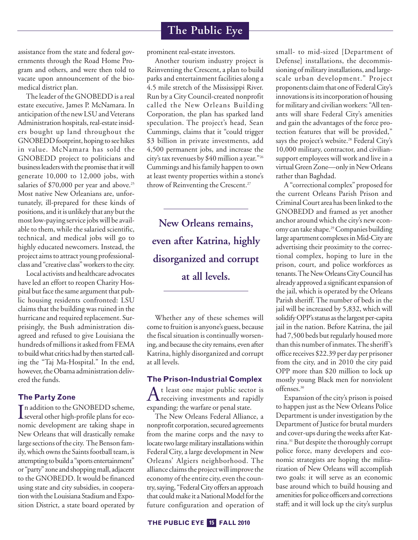assistance from the state and federal governments through the Road Home Program and others, and were then told to vacate upon announcement of the biomedical district plan.

The leader of the GNOBEDD is a real estate executive, James P. McNamara. In anticipation of the new LSU and Veterans Administration hospitals, real-estate insiders bought up land throughout the GNOBEDD footprint, hoping to see hikes in value. McNamara has sold the GNOBEDD project to politicians and business leaders with the promise that it will generate 10,000 to 12,000 jobs, with salaries of \$70,000 per year and above. 25 Most native New Orleanians are, unfortunately, ill-prepared for these kinds of positions, and it is unlikely that any but the most low-paying service jobs will be available to them, while the salaried scientific, technical, and medical jobs will go to highly educated newcomers. Instead, the project aims to attract young professionalclass and "creative class" workers to the city.

Local activists and healthcare advocates have led an effort to reopen Charity Hospital but face the same argument that public housing residents confronted: LSU claims that the building was ruined in the hurricane and required replacement. Surprisingly, the Bush administration disagreed and refused to give Louisiana the hundreds of millions it asked from FEMA to build what critics had by then started calling the "Taj Ma-Hospital." In the end, however, the Obama administration delivered the funds.

#### **The Party Zone**

In addition to the GNOBEDD scheme,<br>several other high-profile plans for ecoseveral other high-profile plans for economic development are taking shape in New Orleans that will drastically remake large sections of the city. The Benson family, which owns the Saints football team, is attempting to build a "sports entertainment" or "party" zone andshoppingmall, adjacent to the GNOBEDD. It would be financed using state and city subsidies, in cooperation with the Louisiana Stadium and Exposition District, a state board operated by prominent real-estate investors.

Another tourism industry project is Reinventing the Crescent, a plan to build parks and entertainment facilities along a 4.5 mile stretch of the Mississippi River. Run by a City Council-created nonprofit called the New Orleans Building Corporation, the plan has sparked land speculation. The project's head, Sean Cummings, claims that it "could trigger \$3 billion in private investments, add 4,500 permanent jobs, and increase the city's tax revenues by \$40 million a year."26 Cummings and his family happen to own at least twenty properties within a stone's throw of Reinventing the Crescent. 27

**New Orleans remains, even after Katrina, highly disorganized and corrupt at all levels.**

Whether any of these schemes will cometo fruition is anyone's guess, because the fiscal situation is continually worsening, and because the city remains, even after Katrina, highly disorganized and corrupt at all levels.

#### **The Prison-Industrial Complex**

At least one major public sector is<br>receiving investments and rapidly expanding: the warfare or penal state.

The New Orleans Federal Alliance, a nonprofit corporation, secured agreements from the marine corps and the navy to locate two large military installations within Federal City, a large development in New Orleans' Algiers neighborhood. The alliance claims the project will improve the economy of the entire city, even the country, saying, "Federal City offers an approach that could make it a National Model for the future configuration and operation of small- to mid-sized [Department of Defense] installations, the decommissioning of military installations, and largescale urban development." Project proponents claim that one of Federal City's innovations is its incorporation of housing for military and civilianworkers: "All tenants will share Federal City's amenities and gain the advantages of the force protection features that will be provided," says the project's website. <sup>28</sup> Federal City's 10,000 military, contractor, and civiliansupport employees will work and live in a virtual Green Zone—only in New Orleans rather than Baghdad.

A "correctional complex" proposed for the current Orleans Parish Prison and CriminalCourt area has been linked to the GNOBEDD and framed as yet another anchor around which the city's new economy can takeshape. 29Companies building large apartment complexes in Mid-City are advertising their proximity to the correctional complex, hoping to lure in the prison, court, and police workforces as tenants. The New Orleans City Council has already approved a significant expansion of the jail, which is operated by the Orleans Parish sheriff. The number of beds in the jail will be increased by 5,832, which will solidify OPP's status as the largest per-capita jail in the nation. Before Katrina, the jail had 7,500 beds but regularly housed more than this number of inmates.Thesheriff's office receives \$22.39 per day per prisoner from the city, and in 2010 the city paid OPP more than \$20 million to lock up mostly young Black men for nonviolent offenses. 30

Expansion of the city's prison is poised to happen just as the New Orleans Police Department is under investigation by the Department of Justice for brutal murders and cover-ups during the weeks after Katrina.<sup>31</sup> But despite the thoroughly corrupt police force, many developers and economic strategists are hoping the militarization of New Orleans will accomplish two goals: it will serve as an economic base around which to build housing and amenities for police officers and corrections staff; and it will lock up the city's surplus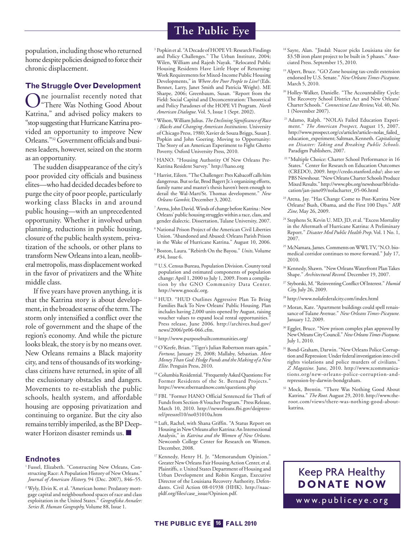population, including thosewho returned home despite policies designed to force their chronic displacement.

#### **The Struggle Over Development**

One journalist recently noted that "There Was Nothing Good About Katrina," and advised policy makers to "stop suggesting that Hurricane Katrina provided an opportunity to improve New Orleans."32Government officials and business leaders, however, seized on the storm as an opportunity.

The sudden disappearance of the city's poor provided city officials and business elites—who had decided decades before to purge the city of poor people, particularly working class Blacks in and around public housing—with an unprecedented opportunity. Whether it involved urban planning, reductions in public housing, closure of the public health system, privatization of the schools, or other plans to transformNewOrleansinto a lean, neoliberal metropolis, mass displacement worked in the favor of privatizers and the White middle class.

If five years have proven anything, it is that the Katrina story is about development, in the broadest sense of the term. The storm only intensified a conflict over the role of government and the shape of the region's economy. And while the picture looks bleak, the story is by no means over. New Orleans remains a Black majority city, and tens of thousands of itsworkingclass citizens have returned, in spite of all the exclusionary obstacles and dangers. Movements to re-establish the public schools, health system, and affordable housing are opposing privatization and continuing to organize. But the city also remains terribly imperiled, as the BP Deepwater Horizon disaster reminds us. **■**

#### **Endnotes**

- <sup>1</sup> Fussel, Elizabeth. "Constructing New Orleans, Constructing Race: A Population History of New Orleans." *Journal of American History,* 94 (Dec. 2007), 846–55.
- <sup>2</sup> Wyly, Elvin K. et al. "American home: Predatory mortgage capital and neighbourhood spaces of race and class exploitation in the United States." *Geografiska Annaler: Series B, Human Geography,* Volume 88, Issue 1.

<sup>3</sup> Popkin et al. "A Decade of HOPE VI: Research Findings and Policy Challenges." The Urban Institute, 2004; Wilen, William and Rajesh Nayak. "Relocated Public Housing Residents Have Little Hope of Returning: Work Requirements for Mixed-Income Public Housing Developments," in *Where Are Poor People to Live?* (Eds. Bennet, Larry, Janet Smith and Patricia Wright). ME Sharpe, 2006; Greenbaum, Susan. "Report from the Field: Social Capital and Deconcentration: Theoretical and Policy Paradoxes of the HOPE VI Program. *North American Dialogue.* Vol. 5, Issue 1 (Sept. 2002).

- <sup>4</sup> Wilson,WilliamJulius.*TheDeclining Significance ofRace : Blacks and Changing American Institutions.* University ofChicago Press, 1980; Xavier de Souza Briggs, Susan J. Popkin and John Goering. Moving to Opportunity: The Story of an American Experiment to Fight Ghetto Poverty. Oxford University Press, 2010.
- <sup>5</sup> HANO. "Housing Authority Of New Orleans Pre-Katrina Resident Survey." http://hano.org
- <sup>6</sup> Harrist, Eileen. "The Challenger: Pres Kabacoff calls him dangerous. But so far, Brod Bagert Jr.'s organizing efforts, family name and master's thesis haven't been enough to derail the Wal-Mart/St. Thomas development." *New Orleans Gambit,* December 3, 2002.
- <sup>7</sup> Arena, John David. Winds of change before Katrina : New Orleans' public housing struggleswithin a race, class, and gender dialectic. Dissertation, Tulane University, 2007.
- <sup>8</sup> National Prison Project of the American Civil Liberties Union. "Abandoned and Abused: Orleans Parish Prison in the Wake of Hurricane Katrina." August 10, 2006.
- <sup>9</sup> Boston, Laura. "Rebirth On the Bayou." *Units,*Volume #34, Issue 6.
- <sup>10</sup> U.S. Census Bureau, Population Division. County total population and estimated components of population change: April 1, 2000 to July 1, 2009. From a compilation by the GNO Community Data Center. http://www.gnocdc.org.
- <sup>11</sup> HUD. "HUD Outlines Aggressive Plan To Bring Families Back To New Orleans' Public Housing. Plan includes having 2,000 units opened by August, raising voucher values to expand local rental opportunities." Press release, June 2006. http://archives.hud.gov/ news/2006/pr06-066.cfm.
- <sup>12</sup> http://www.purposebuiltcommunities.org/
- <sup>13</sup> O'Keefe, Brian. "Tiger's Julian Robertson roars again." *Fortune*, January 29, 2008; Mallaby, Sebastian. *More MoneyThan God: Hedge Funds and the Making of a New Elite.* Penguin Press, 2010.
- <sup>14</sup> Columbia Residential. "Frequently Asked Questions: For Former Residents of the St. Bernard Projects.' https://www.stbernardnow.com/questions.php
- <sup>15</sup> FBI. "Former HANO Official Sentenced for Theft of Funds from Section-8 Voucher Program." Press Release, March 10, 2010. http://neworleans.fbi.gov/dojpressrel/pressrel10/no031010a.htm
- <sup>16</sup> Luft, Rachel, with Shana Griffin. "A Status Report on Housing in New Orleans after Katrina: An Intersectional Analysis," in *Katrina and the Women of New Orleans.* Newcomb College Center for Research on Women. December, 2008.
- <sup>17</sup> Kennedy, Henry H. Jr. "Memorandum Opinion." Greater New Orleans Fair Housing Action Center, et al. Plaintiffs, *v.* United States Department of Housing and Urban Development and Robin Keegan, Executive Director of the Louisiana Recovery Authority, Defendants. Civil Action 08-01938 (HHK). http://naacpldf.org/files/case\_issue/Opinion.pdf.
- <sup>18</sup> Sayre, Alan. "Jindal: Nucor picks Louisiana site for \$3.5B iron plant project to be built in 5 phases." Associated Press. September 15, 2010.
- <sup>19</sup> Alpert, Bruce. "GO Zone housing tax-credit extension endorsed byU.S. Senate." *NewOrleansTimes-Picayune.* March 5, 2010.
- <sup>20</sup> Holley-Walker, Danielle. "The Accountability Cycle: The Recovery School District Act and New Orleans' Charter Schools."*Connecticut LawReview,*Vol. 40,No. 1 (November 2007).
- <sup>21</sup> Adamo, Ralph. "NOLA's Failed Education Experiment." *The American Prospect,* August 15, 2007. http://www.prospect.org/cs/articles?article=nolas\_failed\_ education\_experiment; Saltman, Kenneth. Capitalizing *on Disaster: Taking and Breaking Public Schools.* Paradigm Publishers, 2007.
- <sup>22</sup> "Multiple Choice: Charter School Performance in 16 States." Center for Research on Education Outcomes (CREDO), 2009. http://credo.stanford.edu/; also see PBS Newshour. "New Orleans Charter Schools Produce Mixed Results." http://www.pbs.org/newshour/bb/education/jan-june09/nolacharter\_05-06.html
- <sup>23</sup> Arena, Jay. "Has Change Come to Post-Katrina New Orleans? Bush, Obama, and the First 100 Days." *MR Zine,* May 26, 2009.
- <sup>24</sup> Stephens Sr, Kevin U. MD, JD, et al. "Excess Mortality in the Aftermath of Hurricane Katrina: A Preliminary Report." *Disaster Med Public Health Prep*.Vol. 1 No. 1, 2007.
- <sup>25</sup> McNamara, James. Comments on WWLTV, "N.O. biomedical corridor continues to move forward." July 17, 2010.
- <sup>26</sup> Kennedy, Shawn. "New Orleans Waterfront Plan Takes Shape." *Architectural Record.* December 19, 2007.
- <sup>27</sup> Styborski,M. "ReinventingConflictOfInterest."*Humid City,* July 26, 2009.
- <sup>28</sup> http://www.nolafederalcity.com/index.html
- <sup>29</sup> Moran, Kate. "Apartment buildings could spell renaissance ofTulane Avenue." *New OrleansTimes-Picayune.* January 12, 2009.
- <sup>30</sup> Eggler, Bruce. "New prison complex plan approved by NewOrleansCityCouncil."*NewOrleansTimes-Picayune.* July 1, 2010.
- <sup>31</sup> Bond-Graham, Darwin. "New Orleans Police Corruption and Repression: Under federal investigation into civil rights violations and police murders of civilians." *Z Magazine.* June, 2010. http://www.zcommunications.org/new-orleans-police-corruption-andrepression-by-darwin-bondgraham.
- <sup>32</sup> Mock, Brentin. "There Was Nothing Good About Katrina." *The Root.* August 29, 2010. http://www.theroot.com/views/there-was-nothing-good-aboutkatrina.

# Keep PRA Healthy **DONATE NOW**

www.publiceye.org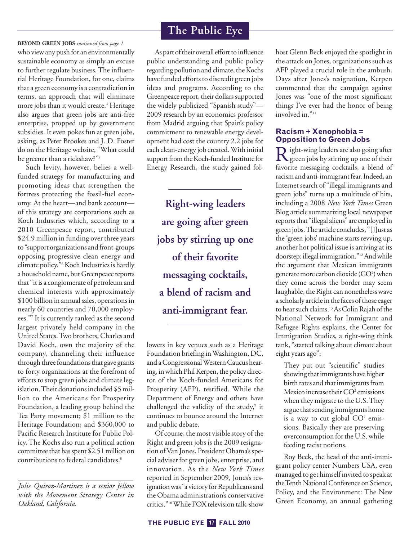who viewany push for an environmentally sustainable economy as simply an excuse to further regulate business.The influential Heritage Foundation, for one, claims that a green economy is a contradiction in terms, an approach that will eliminate more jobs than it would create. <sup>4</sup> Heritage also argues that green jobs are anti-free enterprise, propped up by government subsidies. It even pokes fun at green jobs, asking, as Peter Brookes and J. D. Foster do on the Heritage website, "What could be greener than a rickshaw?"<sup>5</sup> **BEYOND GREEN JOBS** *continued from page 1*

Such levity, however, belies a wellfunded strategy for manufacturing and promoting ideas that strengthen the fortress protecting the fossil-fuel economy. At the heart—and bank account of this strategy are corporations such as Koch Industries which, according to a 2010 Greenpeace report, contributed \$24.9 million in funding over three years to "support organizations and front-groups opposing progressive clean energy and climate policy."<sup>6</sup> Koch Industries is hardly a household name, but Greenpeace reports that "it is a conglomerate of petroleum and chemical interests with approximately \$100 billion in annual sales, operations in nearly 60 countries and 70,000 employees."7 It is currently ranked as the second largest privately held company in the United States.Two brothers,Charles and David Koch, own the majority of the company, channeling their influence through three foundations that gave grants to forty organizations at the forefront of efforts to stop green jobs and climate legislation. Their donations included \$5 million to the Americans for Prosperity Foundation, a leading group behind the Tea Party movement; \$1 million to the Heritage Foundation; and \$360,000 to Pacific Research Institute for Public Policy. The Kochs also run a political action committee that has spent \$2.51 million on contributions to federal candidates. 8

*Julie Quiroz-Martinez is a senior fellow with the Movement Strategy Center in Oakland, California.*

# **The Public Eye**

As part of their overall effort to influence public understanding and public policy regarding pollution and climate, the Kochs have funded efforts to discredit green jobs ideas and programs. According to the Greenpeace report, their dollars supported the widely publicized "Spanish study"— 2009 research by an economics professor from Madrid arguing that Spain's policy commitment to renewable energy development had cost the country 2.2 jobs for each clean-energy job created.With initial support from the Koch-funded Institute for Energy Research, the study gained fol-

**Right-wing leaders are going after green jobs by stirring up one of their favorite messaging cocktails, a blend of racism and anti-immigrant fear.**

lowers in key venues such as a Heritage Foundation briefing inWashington, DC, and a Congressional Western Caucus hearing, in which Phil Kerpen, the policy director of the Koch-funded Americans for Prosperity (AFP), testified. While the Department of Energy and others have challenged the validity of the study, <sup>9</sup> it continues to bounce around the Internet and public debate.

Of course, the most visiblestory of the Right and green jobs is the 2009 resignation of Van Jones, President Obama's special adviser for green jobs, enterprise, and innovation. As the *New York Times* reported in September 2009, Jones's resignation was "a victory for Republicans and the Obama administration's conservative critics."<sup>10</sup>While FOX television talk-show host Glenn Beck enjoyed the spotlight in the attack on Jones, organizations such as AFP played a crucial role in the ambush. Days after Jones's resignation, Kerpen commented that the campaign against Jones was "one of the most significant things I've ever had the honor of being involved in."<sup>11</sup>

#### **Racism + Xenophobia = Opposition to Green Jobs**

Right-wing leaders are also going after green jobs by stirring up one of their favorite messaging cocktails, a blend of racism and anti-immigrant fear. Indeed, an Internet search of "illegal immigrants and green jobs" turns up a multitude of hits, including a 2008 *New York Times* Green Blog article summarizing local newspaper reports that "illegal aliens" are employed in green jobs.The article concludes, "[J]ust as the 'green jobs' machine starts revving up, another hot political issue is arriving at its doorstep: illegal immigration."<sup>12</sup> And while the argument that Mexican immigrants generate more carbon dioxide (CO2) when they come across the border may seem laughable, the Right can nonetheless wave a scholarly article in the faces of those eager to hearsuch claims. 13AsColinRajah ofthe National Network for Immigrant and Refugee Rights explains, the Center for Immigration Studies, a right-wing think tank, "started talking about climate about eight years ago":

They put out "scientific" studies showing that immigrants have higher birth rates and that immigrants from Mexico increase their CO<sup>2</sup> emissions when they migrate to the U.S. They argue that sending immigrants home is a way to cut global  $CO<sup>2</sup>$  emissions. Basically they are preserving overconsumption for the U.S. while feeding racist notions.

Roy Beck, the head of the anti-immigrant policy center Numbers USA, even managed to get himself invited to speak at the Tenth National Conference on Science, Policy, and the Environment: The New Green Economy, an annual gathering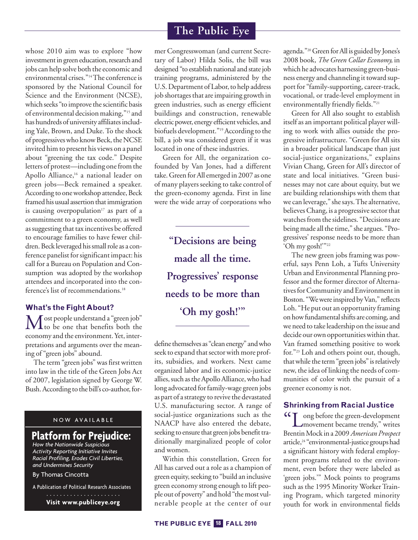whose 2010 aim was to explore "how investment in green education, research and jobs can help solve both the economic and environmental crises."<sup>14</sup>The conference is sponsored by the National Council for Science and the Environment (NCSE), which seeks "to improve the scientific basis of environmental decision making,"<sup>15</sup> and has hundreds of university affiliates including Yale, Brown, and Duke. To the shock of progressives who know Beck, the NCSE invited him to present his views on a panel about "greening the tax code." Despite letters of protest—including one from the Apollo Alliance, <sup>16</sup> a national leader on green jobs—Beck remained a speaker. According to one workshop attendee, Beck framed his usual assertion that immigration is causing overpopulation<sup>17</sup> as part of a commitment to a green economy, as well as suggesting that tax incentives be offered to encourage families to have fewer children. Beck leveraged his small role as a conference panelist for significant impact: his call for a Bureau on Population and Consumption was adopted by the workshop attendees and incorporated into the conference's list of recommendations. 18

#### **What's the Fight About?**

Most people understand <sup>a</sup> "green job" to be one that benefits both the economy and the environment. Yet, interpretations and arguments over the meaning of "green jobs" abound.

The term "green jobs" was first written into law in the title of the Green Jobs Act of 2007, legislation signed by George W. Bush. According to the bill's co-author, for-

#### NOW AVAILABLE

# **Platform for Prejudice:**

*How the Nationwide Suspicious Activity Reporting Initiative Invites Racial Profiling, Erodes Civil Liberties, and Undermines Security*

By Thomas Cincotta

A Publication of Political Research Associates

**Visit www.publiceye.org**

mer Congresswoman (and current Secretary of Labor) Hilda Solis, the bill was designed "to establish national and state job training programs, administered by the U.S. Department of Labor, to help address job shortages that are impairing growth in green industries, such as energy efficient buildings and construction, renewable electric power, energy efficient vehicles, and biofuels development."<sup>19</sup> According to the bill, a job was considered green if it was located in one of these industries.

Green for All, the organization cofounded by Van Jones, had a different take. Green for All emerged in 2007 as one of many players seeking to take control of the green-economy agenda. First in line were the wide array of corporations who

**"Decisions are being made all the time. Progressives' response needs to be more than 'Oh my gosh!'"**

define themselves as "clean energy" and who seek to expand that sector with more profits, subsidies, and workers. Next came organized labor and its economic-justice allies, such as the Apollo Alliance, who had long advocated forfamily-wage green jobs as part of a strategy to revive the devastated U.S. manufacturing sector. A range of social-justice organizations such as the NAACP have also entered the debate, seeking to ensure that green jobs benefit traditionally marginalized people of color and women.

Within this constellation, Green for All has carved out a role as a champion of green equity, seeking to "build an inclusive green economy strong enough to lift people out of poverty" and hold "themost vulnerable people at the center of our

agenda."<sup>20</sup> Green for All is guided by Jones's 2008 book, *The Green Collar Economy,* in which he advocates harnessing green-business energy and channeling it toward support for "family-supporting, career-track, vocational, or trade-level employment in environmentally friendly fields."<sup>21</sup>

Green for All also sought to establish itself as an important political player willing to work with allies outside the progressive infrastructure. "Green for All sits in a broader political landscape than just social-justice organizations," explains Vivian Chang, Green for All's director of state and local initiatives. "Green businesses may not care about equity, but we are building relationships with them that we can leverage," shesays.The alternative, believes Chang, is a progressive sector that watches from the sidelines. "Decisions are being made all the time," she argues. "Progressives' response needs to be more than 'Oh my gosh!""<sup>22</sup>

The new green jobs framing was powerful, says Penn Loh, a Tufts University Urban and Environmental Planning professor and the former director of Alternatives for Community and Environment in Boston. "We were inspired by Van," reflects Loh. "He put out an opportunity framing on how fundamental shifts are coming, and we need to take leadership on the issue and decide our own opportunities within that. Van framed something positive to work for."23 Loh and others point out, though, that while the term "green jobs" is relatively new, the idea of linking the needs of communities of color with the pursuit of a greener economy is not.

#### **Shrinking from Racial Justice**

"Long beforethe green-development movement became trendy," writes BrentinMock in a 2009*American Prospect* article, <sup>24</sup> "environmental-justice groupshad a significant history with federal employment programs related to the environment, even before they were labeled as 'green jobs.'" Mock points to programs such as the 1995 Minority Worker Training Program, which targeted minority youth for work in environmental fields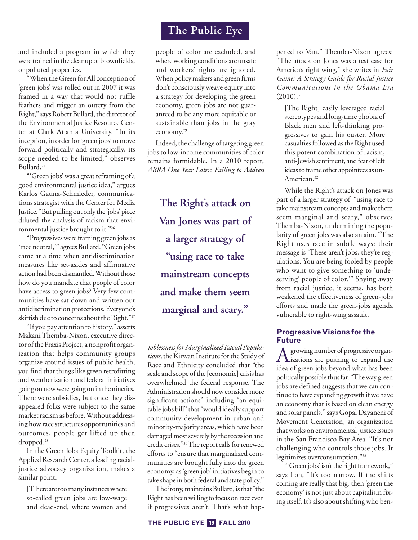and included a program in which they were trained in the cleanup of brownfields, or polluted properties.

"When theGreen forAll conception of 'green jobs' was rolled out in 2007 it was framed in a way that would not ruffle feathers and trigger an outcry from the Right," says Robert Bullard, the director of the Environmental Justice Resource Center at Clark Atlanta University. "In its inception, in order for 'green jobs' to move forward politically and strategically, its scope needed to be limited," observes Bullard. 25

"Green jobs' was a great reframing of a good environmental justice idea," argues Karlos Gauna-Schmieder, communications strategist with the Center for Media Justice. "But pulling out only the 'jobs' piece diluted the analysis of racism that environmental justice brought to it."26

"Progressiveswereframing green jobs as 'race neutral," agrees Bullard. "Green jobs came at a time when antidiscrimination measures like set-asides and affirmative action had been dismantled. Without those how do you mandate that people of color have access to green jobs? Very few communities have sat down and written out antidiscrimination protections.Everyone's skittish due to concerns about the Right."<sup>27</sup>

"If you pay attention to history," asserts MakaniThemba-Nixon, executive director of the Praxis Project, a nonprofit organization that helps community groups organize around issues of public health, you find that things like green retrofitting and weatherization and federal initiatives going on now were going on in the nineties. There were subsidies, but once they disappeared folks were subject to the same market racism as before. Without addressing how race structures opportunities and outcomes, people get lifted up then dropped. 28

In the Green Jobs Equity Toolkit, the Applied Research Center, a leading racialjustice advocacy organization, makes a similar point:

[T] here are too many instances where so-called green jobs are low-wage and dead-end, where women and

people of color are excluded, and whereworking conditions are unsafe and workers' rights are ignored. When policy makers and green firms don't consciously weave equity into a strategy for developing the green economy, green jobs are not guaranteed to be any more equitable or sustainable than jobs in the gray economy. 29

Indeed, the challenge of targeting green jobs to low-income communities of color remains formidable. In a 2010 report, *ARRA One Year Later: Failing to Address*

**The Right's attack on Van Jones was part of a larger strategy of "using race to take mainstream concepts and make them seem marginal and scary."**

*Joblessness for Marginalized Racial Popula*tions, the Kirwan Institute for the Study of Race and Ethnicity concluded that "the scale and scope of the [economic] crisis has overwhelmed the federal response. The Administration should now consider more significant actions" including "an equitablejobs bill" that "would ideally support community development in urban and minority-majority areas,which have been damaged most severely by the recession and credit crises."<sup>30</sup>The report calls for renewed efforts to "ensure that marginalized communities are brought fully into the green economy, as'green job' initiatives begin to take shape in both federal and state policy."

The irony, maintains Bullard, is that "the Right has been willing to focus on race even if progressives aren't. That's what happened to Van." Themba-Nixon agrees: "The attack on Jones was a test case for America's right wing," she writes in *Fair Game: A Strategy Guide for Racial Justice Communications in the Obama Era*  $(2010).$ <sup>31</sup>

[The Right] easily leveraged racial stereotypes and long-time phobia of Black men and left-thinking progressives to gain his ouster. More casualties followed as the Right used this potent combination of racism, anti-Jewish sentiment, and fear ofleft ideas to frame other appointees as un-American. 32

While the Right's attack on Jones was part of a larger strategy of "using race to take mainstream concepts and make them seem marginal and scary," observes Themba-Nixon, undermining the popularity of green jobs was also an aim. "The Right uses race in subtle ways: their message is 'These aren't jobs, they're regulations. You are being fooled by people who want to give something to 'undeserving' people of color.'" Shying away from racial justice, it seems, has both weakened the effectiveness of green-jobs efforts and made the green-jobs agenda vulnerable to right-wing assault.

#### **ProgressiveVisions for the Future**

A growing number of progressive organ-<br>izations are pushing to expand the idea of green jobs beyond what has been politically possible thus far. "The way green jobs are defined suggests that we can continue to have expanding growth if we have an economy that is based on clean energy and solar panels," says Gopal Dayaneni of Movement Generation, an organization that works on environmental justice issues in the San Francisco Bay Area. "It's not challenging who controls those jobs. It legitimizes overconsumption."33

"Green jobs' isn't the right framework," says Loh, "It's too narrow. If the shifts coming are really that big, then 'green the economy' is not just about capitalism fixing itself. It's also about shifting who ben-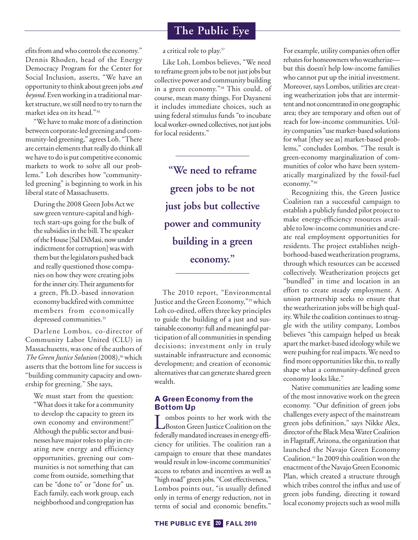efits from and who controls the economy." Dennis Rhoden, head of the Energy Democracy Program for the Center for Social Inclusion, asserts, "We have an opportunity to think about green jobs *and* beyond. Even working in a traditional marketstructure,westill need to try to turn the market idea on its head."34

"We have to make more of a distinction between corporate-led greening and community-led greening," agrees Loh. "There are certain elements that really do think all we have to do is put competitive economic markets to work to solve all our problems." Loh describes how "communityled greening" is beginning to work in his liberal state of Massachusetts.

During the 2008 Green Jobs Actwe saw green venture-capital and hightech start-ups going for the bulk of the subsidies in the bill. The speaker of the House [Sal DiMasi, now under indictment for corruption] was with them but the legislators pushed back and really questioned those companies on how they were creating jobs for the inner city. Their arguments for a green, Ph.D.-based innovation economy backfired with committee members from economically depressed communities. 35

Darlene Lombos, co-director of Community Labor United (CLU) in Massachusetts, was one of the authors of *The Green Justice Solution* (2008),<sup>36</sup> which asserts that the bottom line for success is "building community capacity and ownership for greening." She says,

We must start from the question: "What does it take for a community to develop the capacity to green its own economy and environment?" Although the public sector and businesses have major roles to play in creating new energy and efficiency opportunities, greening our communities is not something that can come from outside, something that can be "done to" or "done for" us. Each family, each work group, each neighborhood and congregation has

a critical role to play. 37

Like Loh, Lombos believes, "We need to reframe green jobs to be not just jobs but collective power and community building in a green economy."38 This could, of course, mean many things. For Dayaneni it includes immediate choices, such as using federal stimulus funds "to incubate local worker-owned collectives, not just jobs for local residents."

**"We need to reframe green jobs to be not just jobs but collective power and community building in a green economy."**

The 2010 report, "Environmental Justice and the Green Economy,"<sup>39</sup> which Loh co-edited, offers three key principles to guide the building of a just and sustainable economy: full and meaningful participation of all communities in spending decisions; investment only in truly sustainable infrastructure and economic development; and creation of economic alternatives that can generate shared green wealth.

#### **A Green Economy from the Bottom Up**

Lombos points to her work with the<br>Boston Green Justice Coalition on the federally mandated increases in energy efficiency for utilities. The coalition ran a campaign to ensure that these mandates would result in low-income communities' access to rebates and incentives as well as "high road" green jobs. "Cost effectiveness," Lombos points out, "is usually defined only in terms of energy reduction, not in terms of social and economic benefits."

For example, utility companies often offer rebates for homeowners who weatherize but this doesn't help low-income families who cannot put up the initial investment. Moreover, says Lombos, utilities are creating weatherization jobs that are intermittent and not concentrated in one geographic area; they are temporary and often out of reach for low-income communities. Utility companies "usemarket-based solutions for what [they see as] market-based problems," concludes Lombos. "The result is green-economy marginalization of communities of color who have been systematically marginalized by the fossil-fuel economy."40

Recognizing this, the Green Justice Coalition ran a successful campaign to establish a publicly funded pilot project to make energy-efficiency resources available to low-income communities and create real employment opportunities for residents. The project establishes neighborhood-basedweatherization programs, through which resources can be accessed collectively. Weatherization projects get "bundled" in time and location in an effort to create steady employment. A union partnership seeks to ensure that the weatherization jobs will be high quality. While the coalition continues to struggle with the utility company, Lombos believes "this campaign helped us break apart the market-based ideology while we were pushing for real impacts. We need to find more opportunities like this, to really shape what a community-defined green economy looks like."

Native communities are leading some of the most innovative work on the green economy. "Our definition of green jobs challenges every aspect of the mainstream green jobs definition," says Nikke Alex, director of the Black Mesa Water Coalition in Flagstaff, Arizona, the organization that launched the Navajo Green Economy Coalition. <sup>41</sup> In 2009 this coalitionwon the enactment of the Navajo Green Economic Plan, which created a structure through which tribes control the influx and use of green jobs funding, directing it toward local economy projects such as wool mills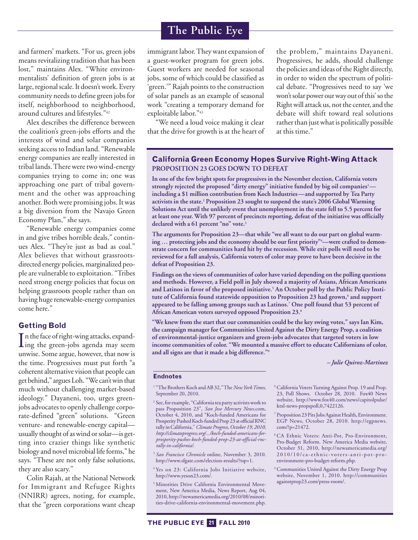and farmers' markets. "For us, green jobs means revitalizing tradition that has been lost," maintains Alex. "White environmentalists' definition of green jobs is at large, regional scale. It doesn't work. Every community needs to define green jobs for itself, neighborhood to neighborhood, around cultures and lifestyles."42

Alex describes the difference between the coalition's green-jobs efforts and the interests of wind and solar companies seeking accessto Indian land. "Renewable energy companies are really interested in tribal lands. There were two wind-energy companies trying to come in; one was approaching one part of tribal government and the other was approaching another. Both were promising jobs. It was a big diversion from the Navajo Green Economy Plan," she says.

"Renewable energy companies come in and give tribes horrible deals," continues Alex. "They're just as bad as coal." Alex believes that without grassrootsdirected energy policies, marginalized people are vulnerable to exploitation. "Tribes need strong energy policies that focus on helping grassroots people rather than on having huge renewable-energy companies come here."

#### **Getting Bold**

In the face of right-wing attacks, expand-<br>ing the green-jobs agenda may seem  $\mathsf{T}$ n the face of right-wing attacks, expandunwise. Some argue, however, that now is the time. Progressives must put forth "a coherent alternative vision that people can get behind," argues Loh. "We can't win that much without challenging market-based ideology." Dayaneni, too, urges greenjobs advocates to openly challenge corporate-defined "green" solutions. "Green venture- and renewable-energy capital usually thought of aswind orsolar—is getting into crazier things like synthetic biology and novel microbial life forms," he says. "These are not only false solutions, they are also scary."

Colin Rajah, at the National Network for Immigrant and Refugee Rights (NNIRR) agrees, noting, for example, that the "green corporations want cheap

immigrant labor. They want expansion of a guest-worker program for green jobs. Guest workers are needed for seasonal jobs, some of which could be classified as 'green.'" Rajah points to the construction of solar panels as an example of seasonal work "creating a temporary demand for exploitable labor."43

"We need a loud voice making it clear that the drive for growth is at the heart of

the problem," maintains Dayaneni. Progressives, he adds, should challenge the policies and ideas of the Right directly, in order to widen the spectrum of political debate. "Progressives need to say 'we won't solar power our way out of this' so the Right will attack us, not the center, and the debate will shift toward real solutions rather than just what is politically possible at this time."

#### **California Green Economy Hopes Survive Right-Wing Attack PROPOSITION 23 GOES DOWN TO DEFEAT**

**In one of the few bright spots for progressives in the November election, California voters strongly rejected the proposed "dirty energy" initiative funded by big oil companies1 including a \$1 million contribution from Koch Industries—and supported by Tea Party activists in the state. <sup>2</sup> Proposition 23 sought to suspend the state's 2006 Global Warming Solutions Act until the unlikely event that unemployment in the state fell to 5.5 percent for at least one year. With 97 percent of precincts reporting, defeat of the initiative was officially declared with a 61 percent "no" vote. 3**

**The arguments for Proposition 23—that while "we all want to do our part on global warming … protecting jobs and the economy should be our first priority"4 —were crafted to demonstrate concern for communities hard hit by the recession. While exit polls will need to be reviewed for a full analysis, California voters of color may prove to have been decisive in the defeat of Proposition 23.**

**Findings on the views of communities of color have varied depending on the polling questions and methods. However, a Field poll in July showed a majority of Asians, African Americans and Latinos in favor of the proposed initiative. <sup>5</sup> An October poll by the Public Policy Institute of California found statewide opposition to Proposition 23 had grown, <sup>6</sup> and support appeared to be falling among groups such as Latinos. <sup>7</sup> One poll found that 53 percent of African American voters surveyed opposed Proposition 23. 8**

**"We knew from the start that our communities could be the key swing votes," says Ian Kim, the campaign manager for Communities United Against the Dirty Energy Prop, a coalition of environmental-justice organizers and green-jobs advocates that targeted voters in low income communities of color. "We mounted a massive effort to educate Californians of color, and all signs are that it made a big difference."9**

*– Julie Quiroz-Martinez*

#### **Endnotes**

- <sup>1</sup> "The Brothers Koch and AB 32," The *New York Times*, September 20, 2010.
- <sup>2</sup> See, for example, "California tea party activists work to pass Proposition 23", *San Jose Mercury News*.com, October 4, 2010, and "Koch-funded Americans for Prosperity Pushed Koch-funded Prop 23 at official RNC rally inCalifornia,"*Climate Progress,October 19, 2010, http://climateprogress.org/.../koch-funded-americans-forprosperity-pushes-koch-funded-prop-23-at-official-rncrally-in-california/.*
- <sup>3</sup> *San Francisco Chronicle* online, November 3, 2010. http://www.sfgate.com/election-results/?tsp=1.
- <sup>4</sup> Yes on 23: California Jobs Initiative website, http://www.yeson23.com/.
- <sup>5</sup> Minorities Drive California Environmental Movement, New America Media, News Report, Aug 04, 2010, http://newamericamedia.org/2010/08/minorities-drive-california-environmental-movement.php.
- <sup>6</sup> California Voters Turning Against Prop. 19 and Prop. 23, Poll Shows. October 28, 2010. Fox40 News website, http://www.fox40.com/news/capitolpulse/ ktxl-news-propspoll,0,7422126.
- <sup>7</sup> Proposition 23PitsJobsAgainst Health,Environment. EGP News, October 28, 2010. http://egpnews. com/?p=21472.
- <sup>8</sup> CA Ethnic Voters: Anti-Pot, Pro-Environment, Pro-Budget Reform. New America Media website, October 31, 2010, http://newamericamedia.org/ 2010/10/ca-ethnic-voters-anti-pot-proenvironment-pro-budget-reform.php.
- <sup>9</sup> Communities United Against the Dirty Energy Prop website, November 1, 2010. http://communities againstprop23.com/press-room/.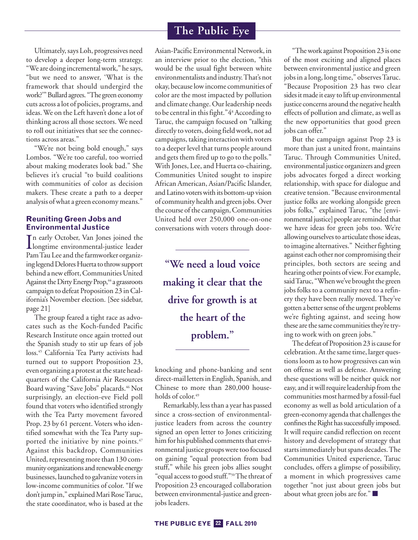Ultimately,says Loh, progressives need to develop a deeper long-term strategy. "We are doing incremental work," he says, "but we need to answer, 'What is the framework that should undergird the work?"" Bullard agrees. "The green economy cuts across a lot of policies, programs, and ideas. We on the Left haven't done a lot of thinking across all those sectors. We need to roll out initiatives that see the connections across areas."

"We're not being bold enough," says Lombos. "We're too careful, too worried about making moderates look bad." She believes it's crucial "to build coalitions with communities of color as decision makers. These create a path to a deeper analysis ofwhat a green economymeans."

#### **Reuniting Green Jobs and Environmental Justice**

In early October, Van Jones joined the<br>longtime environmental-justice leader n early October, Van Jones joined the Pam Tau Lee and the farmworker organizing legend Delores Huerta to throw support behind a new effort, Communities United Against the Dirty Energy Prop,<sup>44</sup> a grassroots campaign to defeat Proposition 23 inCalifornia's November election. [See sidebar, page 21]

The group feared a tight race as advocates such as the Koch-funded Pacific Research Institute once again trotted out the Spanish study to stir up fears of job loss. <sup>45</sup> California Tea Party activists had turned out to support Proposition 23, even organizing a protest at the state headquarters of the California Air Resources Board waving "Save Jobs" placards. <sup>46</sup> Not surprisingly, an election-eve Field poll found that voters who identified strongly with the Tea Party movement favored Prop. 23 by 61 percent. Voters who identified somewhat with the Tea Party supported the initiative by nine points. 47 Against this backdrop, Communities United, representing more than 130 community organizations and renewable energy businesses, launched to galvanize votersin low-income communities of color. "If we don't jump in," explained Mari Rose Taruc, the state coordinator, who is based at the Asian-Pacific Environmental Network, in an interview prior to the election, "this would be the usual fight between white environmentalists and industry.That's not okay, becauselowincome communities of color are the most impacted by pollution and climate change. Our leadership needs to be central in this fight." 4<sup>8</sup> According to Taruc, the campaign focused on "talking directly to voters, doing fieldwork, not ad campaigns, taking interaction with voters to a deeper level that turns people around and gets them fired up to go to the polls." With Jones, Lee, and Huerta co-chairing, Communities United sought to inspire African American, Asian/Pacific Islander, andLatino voterswith its bottom-up vision of community health and green jobs.Over the course of the campaign, Communities United held over 250,000 one-on-one conversations with voters through door-

**"We need a loud voice making it clear that the drive for growth is at the heart of the problem."**

knocking and phone-banking and sent direct-mail letters in English, Spanish, and Chinese to more than 280,000 households of color. 49

Remarkably, less than a year has passed since a cross-section of environmentaljustice leaders from across the country signed an open letter to Jones criticizing him for his published comments that environmental justice groups were too focused on gaining "equal protection from bad stuff," while his green jobs allies sought "equal access to good stuff."<sup>50</sup>The threat of Proposition 23 encouraged collaboration between environmental-justice and greenjobs leaders.

"The work against Proposition 23 is one of the most exciting and aligned places between environmental justice and green jobs in a long, long time," observesTaruc. "Because Proposition 23 has two clear sides it made it easy to lift up environmental justice concerns around the negative health effects of pollution and climate, as well as the new opportunities that good green jobs can offer."

But the campaign against Prop 23 is more than just a united front, maintains Taruc. Through Communities United, environmental justice organizers and green jobs advocates forged a direct working relationship, with space for dialogue and creative tension. "Because environmental justice folks are working alongside green jobs folks," explained Taruc, "the [environmental justice] people are reminded that we have ideas for green jobs too. We're allowing ourselves to articulate those ideas, to imagine alternatives." Neither fighting against each other nor compromising their principles, both sectors are seeing and hearing other points of view. For example, said Taruc, "When we've brought the green jobs folks to a community next to a refinery they have been really moved. They've gotten a better sense of the urgent problems we're fighting against, and seeing how these are the same communities they're trying to work with on green jobs."

The defeat of Proposition 23 is cause for celebration. At the same time, larger questions loom as to how progressives can win on offense as well as defense. Answering these questions will be neither quick nor easy, and it will require leadership from the communities most harmed by a fossil-fuel economy as well as bold articulation of a green-economy agenda that challenges the confines the Right has successfully imposed. It will require candid reflection on recent history and development of strategy that starts immediately but spans decades. The Communities United experience, Taruc concludes, offers a glimpse of possibility, a moment in which progressives came together "not just about green jobs but about what green jobs are for." **■**

# **The Public Eye**

#### **THE PUBLIC EYE FALL 2010 22**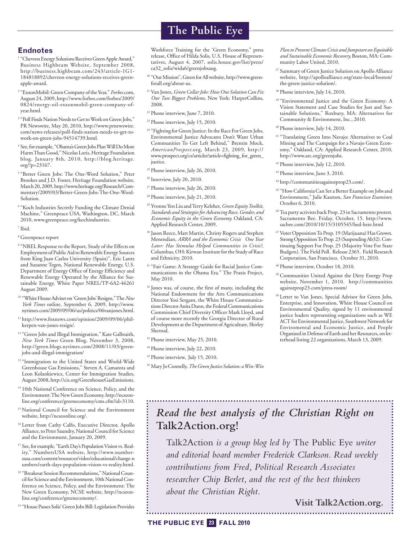#### **Endnotes**

- <sup>1</sup> "Chevron Energy Solutions Receives Green Apple Award," Business Highbeam Website, September 2008, http://business.highbeam.com/243/article-1G1- 184818892/chevron-energy-solutions-receives-greenapple-award.
- <sup>2</sup> "ExxonMobil: Green Company of the Year," *Forbes*.com, August 24, 2009, http://www.forbes.com/forbes/2009/ 0824/energy-oil-exxonmobil-green-company-ofyear.html.
- <sup>3</sup> "Poll Finds Nation Needs to Get to Work on Green Jobs," PR Newswire, May 20, 2010, http://www.prnewswire. com/news-releases/poll-finds-nation-needs-to-get-towork-on-green-jobs-94514739.html.
- <sup>4</sup> See, for example, "Obama's Green Jobs Plan Will Do More HarmThanGood,"Nicolas Loris, Heritage Foundation blog, January 8th, 2010, http://blog.heritage. org/?p=23167.
- <sup>5</sup> "Better Green Jobs: The One-Word Solution," Peter Brookes and J.D. Foster, Heritage Foundation website, March20, 2009,http://www.heritage.org/Research/Commentary/2009/03/Better-Green-Jobs-The-One-Word-Solution.
- <sup>6</sup> "Koch Industries Secretly Funding the Climate Denial Machine," Greenpeace USA, Washington, DC, March 2010, www.greenpeace.org/kochindustries.
- <sup>7</sup> Ibid.
- <sup>8</sup> Greenpeace report
- <sup>9</sup> "NREL Response to the Report, Study of the Effects on Employment of Public Aid to Renewable Energy Sources from King Juan Carlos University (Spain)", Eric Lantz and Suzanne Tegen, National Renewable Energy, U.S. Department of Energy Office of Energy Efficiency and Renewable Energy Operated by the Alliance for Sustainable Energy, White Paper NREL/TP-6A2-46261 August 2009.
- <sup>10</sup> "WhiteHouseAdviser on'GreenJobs'Resigns,"The*New York Times* online, September 6, 2009, http://www. nytimes.com/2009/09/06/us/politics/06vanjones.html.
- <sup>11</sup> http://www.foxnews.com/opinion/2009/09/06/philkerpen-van-jones-resign/.
- <sup>12</sup> "Green Jobs and Illegal Immigration," Kate Galbraith, *New York Times* Green Blog, November 3, 2008, http://green.blogs.nytimes.com/2008/11/03/greenjobs-and-illegal-immigration/
- <sup>13</sup> "Immigration to the United States and World-Wide Greenhouse Gas Emissions," Steven A. Camarota and Leon Kolankiewicz, Center for Immigration Studies, August 2008, http://cis.org/GreenhouseGasEmissions.
- <sup>14</sup> 10th National Conference on Science, Policy, and the Environment: The New Green Economy, http://ncseonline.org/conference/greeneconomy/cms.cfm?id=3110.
- <sup>15</sup> National Council for Science and the Environment website, http://ncseonline.org/.
- <sup>16</sup> Letter from Cathy Calfo, Executive Director, Apollo Alliance, to Peter Saundry, National Council for Science and the Environment, January 20, 2009.
- <sup>17</sup> See, for example, "Earth Day's Population Vision vs. Reality," NumbersUSA website, http://www.numbersusa.com/content/resources/video/educational/change-n umbers/earth-days-population-vision-vs-reality.html.
- <sup>18</sup> "Breakout Session Recommendations," National Council for Science and the Environment, 10th National Conference on Science, Policy, and the Environment: The New Green Economy, NCSE website, http://ncseonline.org/conference/greeneconomy/.
- <sup>19</sup> "House Passes Solis' Green Jobs Bill: Legislation Provides

# **The Public Eye**

Workforce Training for the 'Green Economy," press release, Office of Hilda Solis, U.S. House of Representatives, August 4, 2007, solis.house.gov/list/press/ ca32\_solis/wida6/greenjobsaug.

- <sup>20</sup> "Our Mission", Green for All website, http://www.greenforall.org/about-us.
- <sup>21</sup> Van Jones, *GreenCollarJobs:How One SolutionCan Fix Our Two Biggest Problems,* New York: HarperCollins, 2008.
- <sup>22</sup> Phone interview, June 7, 2010.
- <sup>23</sup> Phone interview, July 15, 2010.
- <sup>24</sup> "Fighting for Green Justice: In the Race For Green Jobs, Environmental Justice Advocates Don't Want Urban Communities To Get Left Behind," Brentin Mock, *AmericanProspect*.org, March 23, 2009, http:// www.prospect.org/cs/articles?article=fighting\_for\_green\_ justice.
- <sup>25</sup> Phone interview, July 26, 2010.
- <sup>26</sup> Interview, July 20, 2010.
- <sup>27</sup> Phone interview, July 26, 2010.
- <sup>28</sup> Phone interview, July 21, 2010.
- <sup>29</sup> Yvonne Yen Liu and Terry Keleher, *Green Equity Toolkit*, *Standards and Strategies forAdvancing Race, Gender, and Economic Equity in the Green Economy.* Oakland, CA: Applied Research Center, 2009.
- <sup>30</sup> Jason Reece, Matt Martin,Christy Rogers and Stephen Menendian, *ARRA and the Economic Crisis One Year Later: Has Stimulus Helped Communities in Crisis?,* Columbus, OH: Kirwan Institute for the Study of Race and Ethnicity, 2010.
- <sup>31</sup> "Fair Game: A Strategy Guide for Racial Justice Communications in the Obama Era." The Praxis Project, May 2010.
- <sup>32</sup> Jones was, of course, the first of many, including the National Endowment for the Arts Communications Director Yosi Sergant, the White House Communications Director Anita Dunn, the Federal Communications Commission Chief Diversity Officer Mark Lloyd, and of course more recently the Georgia Director of Rural Development at the Department of Agriculture, Shirley Sherrod.
- <sup>33</sup> Phone interview, May 25, 2010.
- <sup>34</sup> Phone interview, July 22, 2010.
- <sup>35</sup> Phone interview, July 15, 2010.
- <sup>36</sup> Mary JoConnelly,*TheGreen Justice Solution: aWin-Win*

*Plan to PreventClimateCrisis and Jumpstart an Equitable and Sustainable Economic Recovery,* Boston, MA: Community Labor United, 2010.

- <sup>37</sup> Summary of Green Justice Solution on Apollo Alliance website, http://apolloalliance.org/state-local/boston/ the-green-justice-solution/.
- <sup>38</sup> Phone interview, July 14, 2010.
- <sup>39</sup> "Environmental Justice and the Green Economy: A Vision Statement and Case Studies for Just and Sustainable Solutions," Roxbury, MA: Alternatives for Community & Environment, Inc., 2010.
- <sup>40</sup> Phone interview, July 14, 2010.
- <sup>41</sup> "Translating Green Into Navajo: Alternatives to Coal Mining and The Campaign for a Navajo Green Economy," Oakland, CA: Applied Research Center, 2010, http://www.arc.org/greenjobs.
- <sup>42</sup> Phone interview, July 12, 2010.
- <sup>43</sup> Phone interview, June 3, 2010.
- <sup>44</sup> http://communitiesagainstprop23.com/.
- <sup>45</sup> "HowCaliforniaCan Set a Better Example on Jobs and Environment," Julie Kaszton, *San Francisco Examiner,* October 6, 2010.
- <sup>46</sup> Tea party activists back Prop. 23 in Sacramento protest. Sacramento Bee. Friday, October, 15. http://www. sacbee.com/2010/10/15/3105545/hed-here.html
- <sup>47</sup> Voter Opposition To Prop. 19 (Marijuana) Has Grown. Strong Opposition To Prop. 23 (Suspending Ab32). Continuing Support For Prop. 25 (Majority Vote For State Budgets).The Field Poll. Release 2365. Field Research Corporation, San Francisco. October 31, 2010.
- <sup>48</sup> Phone interview, October 18, 2010.
- <sup>49</sup> Communities United Against the Dirty Energy Prop website, November 1, 2010. http://communities againstprop23.com/press-room/
- <sup>50</sup> Letter to Van Jones, Special Advisor for Green Jobs, Enterprise, and Innovation, White House Council on Environmental Quality, signed by 11 environmental justice leaders representing organizations such as WE ACT for Environmental Justice, Southwest Network for Enviromental and Economic Justice, and People Organized in Defense of Earth and her Resources, on letterhead listing 22 organizations, March 13, 2009.

# *Read the best analysis of the Christian Right on* **Talk2Action.org!**

Talk2Action *is a group blog led by* The Public Eye *writer and editorial board member Frederick Clarkson. Read weekly contributions from Fred, Political Research Associates researcher Chip Berlet, and the rest of the best thinkers about the Christian Right.*

**Visit Talk2Action.org.**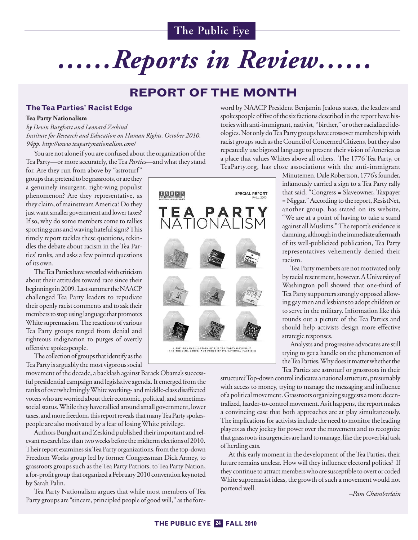# *……Reports in Review……*

# **REPORT OF THE MONTH**

#### **TheTea Parties' Racist Edge**

#### **Tea Party Nationalism**

*by Devin Burghart and Leonard Zeskind Institute for Research and Education on Human Rights, October 2010, 94pp. http://www.teapartynationalism.com/*

You are not alone if you are confused about the organization of the Tea Party—or more accurately, the Tea *Parties*—and what they stand

for. Are they run from above by "astroturf" groups that pretend to be grassroots, or are they a genuinely insurgent, right-wing populist phenomenon? Are they representative, as they claim, of mainstream America? Do they just want smaller government and lower taxes? If so, why do some members come to rallies sporting guns and waving hateful signs? This timely report tackles these questions, rekindles the debate about racism in the Tea Parties' ranks, and asks a few pointed questions of its own.

The Tea Parties have wrestled with criticism about their attitudes toward race since their beginnings in 2009. Last summer the NAACP challenged Tea Party leaders to repudiate their openly racist comments and to ask their members to stop using language that promotes White supremacism. The reactions of various Tea Party groups ranged from denial and righteous indignation to purges of overtly offensive spokespeople.

The collection of groups that identify as the Tea Party is arguably the most vigorous social

movement of the decade, a backlash against Barack Obama's successful presidential campaign and legislative agenda. It emerged from the ranks of overwhelmingly White working- and middle-class disaffected voters who are worried about their economic, political, and sometimes social status. While they have rallied around small government, lower taxes, and more freedom, this report reveals that many Tea Party spokespeople are also motivated by a fear of losing White privilege.

Authors Burghart and Zeskind published their important and relevant research less than two weeks before the midterm elections of 2010. Their report examines six Tea Party organizations, from the top-down Freedom Works group led by former Congressman Dick Armey, to grassroots groups such as theTea Party Patriots, toTea Party Nation, a for-profit group that organized a February 2010 convention keynoted by Sarah Palin.

Tea Party Nationalism argues that while most members of Tea Party groups are "sincere, principled people of good will," as the foreword by NAACP President Benjamin Jealous states, the leaders and spokespeople of five of the six factions described in the report have histories with anti-immigrant, nativist, "birther," or other racialized ideologies. Not only do Tea Party groups have crossover membership with racist groups such as the Council of Concerned Citizens, but they also repeatedly use bigoted language to present their vision of America as a place that values Whites above all others. The 1776 Tea Party, or TeaParty.org, has close associations with the anti-immigrant

> Minutemen. Dale Robertson, 1776's founder, infamously carried a sign to a Tea Party rally that said, "Congress = Slaveowner, Taxpayer = Niggar." According to the report, ResistNet, another group, has stated on its website, "We are at a point of having to take a stand against all Muslims." The report's evidence is damning, although in the immediate aftermath of its well-publicized publication, Tea Party representatives vehemently denied their racism.

> Tea Party members are not motivated only by racial resentment, however. A University of Washington poll showed that one-third of Tea Party supporters strongly opposed allowing gay men and lesbians to adopt children or to serve in the military. Information like this rounds out a picture of the Tea Parties and should help activists design more effective strategic responses.

> Analysts and progressive advocates arestill trying to get a handle on the phenomenon of the Tea Parties. Why does it matter whether the Tea Parties are astroturf or grassroots in their

structure? Top-down control indicates a national structure, presumably with access to money, trying to manage the messaging and influence of a political movement. Grassroots organizing suggests a more decentralized, harder-to-control movement. As it happens, the report makes a convincing case that both approaches are at play simultaneously. The implications for activists include the need to monitor the leading players as they jockey for power over the movement and to recognize that grassroots insurgencies are hard to manage, like the proverbial task of herding cats.

At this early moment in the development of the Tea Parties, their future remains unclear. How will they influence electoral politics? If they continue to attract members who are susceptible to overt or coded White supremacist ideas, the growth of such a movement would not portend well. *–Pam Chamberlain*



A CRITICAL EXAMINATION OF THE TEA PARTY MOVEMENT<br>AND THE SIZE, SCOPE, AND FOCUS OF ITS NATIONAL FACTIONS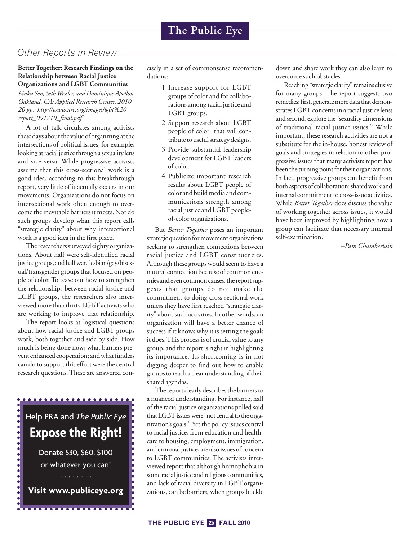## *Other Reports in Review*

#### **Better Together: Research Findings on the Relationship between Racial Justice Organizations and LGBT Communities**

*Rinku Sen, SethWessler, and Dominique Apollon Oakland, CA: Applied Research Center, 2010, 20 pp., http://www.arc.org/images/lgbt%20 report\_091710\_final.pdf*

A lot of talk circulates among activists these days about the value of organizing at the intersections of political issues, for example, looking at racial justice through a sexuality lens and vice versa. While progressive activists assume that this cross-sectional work is a good idea, according to this breakthrough report, very little of it actually occurs in our movements. Organizations do not focus on intersectional work often enough to overcome the inevitable barriers it meets. Nor do such groups develop what this report calls "strategic clarity" about why intersectional work is a good idea in the first place.

The researchers surveyed eighty organizations. About half were self-identified racial justice groups, and half were lesbian/gay/bisexual/transgender groups that focused on people of color. To tease out how to strengthen the relationships between racial justice and LGBT groups, the researchers also interviewed more than thirty LGBT activists who are working to improve that relationship.

The report looks at logistical questions about how racial justice and LGBT groups work, both together and side by side. How much is being done now; what barriers prevent enhanced cooperation; and what funders can do to support this effort were the central research questions.These are answered con-



cisely in a set of commonsense recommendations:

- 1 Increase support for LGBT groups of color and for collaborations among racial justice and LGBT groups.
- 2 Support research about LGBT people of color that will contribute to useful strategy designs.
- 3 Provide substantial leadership development for LGBT leaders of color.
- 4 Publicize important research results about LGBT people of color and build media and communications strength among racial justice and LGBT peopleof-color organizations.

But *Better Together* poses an important strategic question for movement organizations seeking to strengthen connections between racial justice and LGBT constituencies. Although these groupswould seem to have a natural connection because of common enemies and even common causes, the report suggests that groups do not make the commitment to doing cross-sectional work unless they have first reached "strategic clarity" about such activities. In other words, an organization will have a better chance of success if it knows why it is setting the goals it does. This process is of crucial value to any group, and the report is right in highlighting its importance. Its shortcoming is in not digging deeper to find out how to enable groups to reach a clear understanding of their shared agendas.

The report clearly describes the barriers to a nuanced understanding. For instance, half of the racial justice organizations polled said that LGBT issues were "not central to the organization's goals." Yet the policy issues central to racial justice, from education and healthcare to housing, employment, immigration, and criminal justice, are also issues of concern to LGBT communities. The activists interviewed report that although homophobia in some racial justice and religious communities, and lack of racial diversity in LGBT organizations, can be barriers, when groups buckle down and share work they can also learn to overcome such obstacles.

Reaching "strategic clarity" remains elusive for many groups. The report suggests two remedies: first, generate more data that demonstrates LGBT concerns in a racial justice lens; and second, explore the "sexuality dimensions of traditional racial justice issues." While important, these research activities are not a substitute for the in-house, honest review of goals and strategies in relation to other progressive issues that many activists report has been the turning point for their organizations. In fact, progressive groups can benefit from both aspects of collaboration: shared work and internal commitment to cross-issue activities. While *Better Together* does discuss the value of working together across issues, it would have been improved by highlighting how a group can facilitate that necessary internal self-examination.

*–Pam Chamberlain*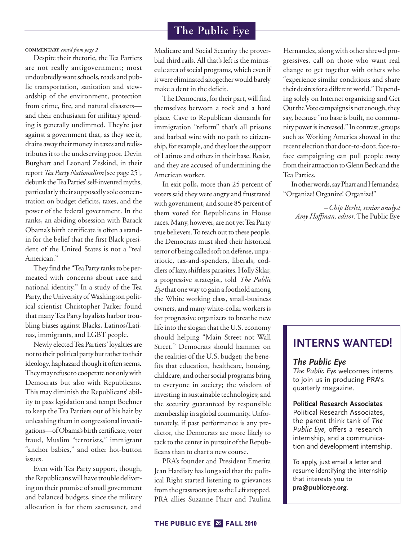#### **COMMENTARY** *cont'd from page 2*

Despite their rhetoric, the Tea Partiers are not really antigovernment; most undoubtedly want schools, roads and public transportation, sanitation and stewardship of the environment, protection from crime, fire, and natural disasters and their enthusiasm for military spending is generally undimmed. They're just against a government that, as they see it, drains away their money in taxes and redistributes it to the undeserving poor. Devin Burghart and Leonard Zeskind, in their report Tea Party Nationalism [see page 25], debunk the Tea Parties' self-invented myths, particularly their supposedly sole concentration on budget deficits, taxes, and the power of the federal government. In the ranks, an abiding obsession with Barack Obama's birth certificate is often a standin for the belief that the first Black president of the United States is not a "real American."

They find the "Tea Party ranks to be permeated with concerns about race and national identity." In a study of the Tea Party, the University of Washington political scientist Christopher Parker found that manyTea Party loyalists harbor troubling biases against Blacks, Latinos/Latinas, immigrants, and LGBT people.

Newly electedTea Partiers' loyalties are not to their political party but rather to their ideology, haphazard though it often seems. They may refuse to cooperate not only with Democrats but also with Republicans. This may diminish the Republicans' ability to pass legislation and tempt Boehner to keep the Tea Partiers out of his hair by unleashing them in congressional investigations—ofObama's birth certificate, voter fraud, Muslim "terrorists," immigrant "anchor babies," and other hot-button issues.

Even with Tea Party support, though, the Republicans will have trouble delivering on their promise of small government and balanced budgets, since the military allocation is for them sacrosanct, and

Medicare and Social Security the proverbial third rails. All that's left is the minuscule area of social programs, which even if it were eliminated altogether would barely make a dent in the deficit.

The Democrats, for their part, will find themselves between a rock and a hard place. Cave to Republican demands for immigration "reform" that's all prisons and barbed wire with no path to citizenship, for example, and they lose the support of Latinos and others in their base. Resist, and they are accused of undermining the American worker.

In exit polls, more than 25 percent of voters said they were angry and frustrated with government, and some 85 percent of them voted for Republicans in House races. Many, however, are not yet Tea Party true believers. To reach out to these people, the Democrats must shed their historical terror of being called soft on defense, unpatriotic, tax-and-spenders, liberals, coddlers of lazy, shiftless parasites. Holly Sklar, a progressive strategist, told *The Public Eye*that oneway to gain a foothold among the White working class, small-business owners, and many white-collar workers is for progressive organizers to breathe new life into the slogan that the U.S. economy should helping "Main Street not Wall Street." Democrats should hammer on the realities of the U.S. budget; the benefits that education, healthcare, housing, childcare, and other social programs bring to everyone in society; the wisdom of investing in sustainable technologies; and the security guaranteed by responsible membership ina global community.Unfortunately, if past performance is any predictor, the Democrats are more likely to tack to the center in pursuit of the Republicans than to chart a new course.

PRA's founder and President Emerita Jean Hardisty has long said that the political Right started listening to grievances from the grassroots just as the Left stopped. PRA allies Suzanne Pharr and Paulina Hernandez, along with other shrewd progressives, call on those who want real change to get together with others who "experience similar conditions and share their desires for a different world." Depending solely on Internet organizing and Get Out the Vote campaigns is not enough, they say, because "no base is built, no community power is increased." In contrast, groups such as Working America showed in the recent election that door-to-door, face-toface campaigning can pull people away from their attraction to Glenn Beck and the Tea Parties.

In other words, say Pharr and Hernandez, "Organize! Organize! Organize!"

*–Chip Berlet, senior analyst Amy Hoffman, editor,* The Public Eye

# **INTERNS WANTED!**

#### *The Public Eye*

*The Public Eye* welcomes interns to join us in producing PRA's quarterly magazine.

#### **Political Research Associates**

Political Research Associates, the parent think tank of *The Public Eye,* offers a research internship, and a communication and development internship.

To apply, just email a letter and resume identifying the internship that interests you to **pra@publiceye.org**.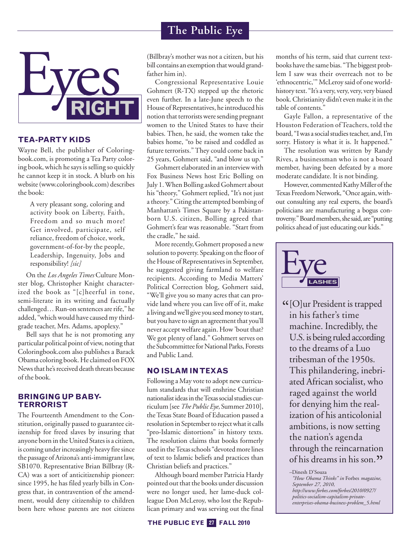

#### **TEA-PARTY KIDS**

Wayne Bell, the publisher of Coloringbook.com, is promoting a Tea Party coloring book, which hesays is selling so quickly he cannot keep it in stock. A blurb on his website(www.coloringbook.com) describes the book:

> A very pleasant song, coloring and activity book on Liberty, Faith, Freedom and so much more! Get involved, participate, self reliance, freedom of choice, work, government-of-for-by the people, Leadership, Ingenuity, Jobs and responsibility! *[sic]*

On the *Los Angeles Times* Culture Monster blog, Christopher Knight characterized the book as "[c]heerful in tone, semi-literate in its writing and factually challenged... Run-on sentences are rife," he added, "which would have caused my thirdgrade teacher, Mrs. Adams, apoplexy."

Bell says that he is not promoting any particular political point of view, noting that Coloringbook.com also publishes a Barack Obama coloring book. He claimed on FOX News that he's received death threats because of the book.

#### **BRINGING UP BABY-TERRORIST**

The Fourteenth Amendment to the Constitution, originally passed to guarantee citizenship for freed slaves by insuring that anyone born in the United States is a citizen, is coming under increasingly heavy fire since the passage of Arizona's anti-immigrant law, SB1070. Representative Brian Billbray (R-CA) was a sort of anticitizenship pioneer: since 1995, he has filed yearly bills in Congress that, in contravention of the amendment, would deny citizenship to children born here whose parents are not citizens

(Billbray's mother was not a citizen, but his bill contains an exemption that would grandfather him in).

Congressional Representative Louie Gohmert (R-TX) stepped up the rhetoric even further. In a late-June speech to the House of Representatives, he introduced his notion that terrorists were sending pregnant women to the United States to have their babies. Then, he said, the women take the babies home, "to be raised and coddled as future terrorists." They could come back in 25 years, Gohmert said, "and blow us up."

Gohmert elaborated in an interview with Fox Business News host Eric Bolling on July 1.When Bolling asked Gohmert about his "theory," Gohmert replied, "It's not just a theory."Citing the attempted bombing of Manhattan's Times Square by a Pakistanborn U.S. citizen, Bolling agreed that Gohmert's fear was reasonable. "Start from the cradle," he said.

More recently, Gohmert proposed a new solution to poverty. Speaking on the floor of the House of Representatives in September, he suggested giving farmland to welfare recipients. According to Media Matters' Political Correction blog, Gohmert said, "We'll give you so many acres that can provide land where you can live off of it, make a living andwe'll give you seedmoney to start, but you have to sign an agreement that you'll never acceptwelfare again. How'bout that? We got plenty of land." Gohmert serves on the Subcommittee for National Parks, Forests and Public Land.

#### **NO ISLAM INTEXAS**

Following a May vote to adopt new curriculum standards that will enshrine Christian nationalist ideas in the Texas social studies curriculum[see*The PublicEye,* Summer 2010], theTexas State Board of Education passed a resolution in September to reject what it calls "pro-Islamic distortions" in history texts. The resolution claims that books formerly used in the Texas schools "devoted more lines of text to Islamic beliefs and practices than Christian beliefs and practices."

Although board member Patricia Hardy pointed out that the books under discussion were no longer used, her lame-duck colleague Don McLeroy, who lost the Republican primary and was serving out the final months of his term, said that current textbooks have the same bias. "The biggest problem I saw was their overreach not to be 'ethnocentric,'" McLeroy said of oneworldhistory text. "It's a very, very, very, very biased book. Christianity didn't even make it in the table of contents."

Gayle Fallon, a representative of the Houston Federation ofTeachers, told the board, "Iwas a socialstudiesteacher, and,I'm sorry. History is what it is. It happened."

The resolution was written by Randy Rives, a businessman who is not a board member, having been defeated by a more moderate candidate. It is not binding.

However, commented Kathy Miller of the Texas Freedom Network, "Once again, without consulting any real experts, the board's politicians are manufacturing a bogus controversy." Board members, she said, are "putting politics ahead of just educating our kids."



 $G$ [O]ur President is trapped in his father's time machine. Incredibly, the U.S. is being ruled according to the dreams of a Luo tribesman of the 1950s. This philandering, inebriated African socialist, who raged against the world for denying him the realization of his anticolonial ambitions, is now setting the nation's agenda through the reincarnation of his dreams in his son."<br>-<sup>Dinesh D'Souza</sup>

*<sup>&</sup>quot;How Obama Thinks" in* Forbes *magazine, September 27, 2010, http://www.forbes.com/forbes/2010/0927/ politics-socialism-capitalism-privateenterprises-obama-business-problem\_5.html*